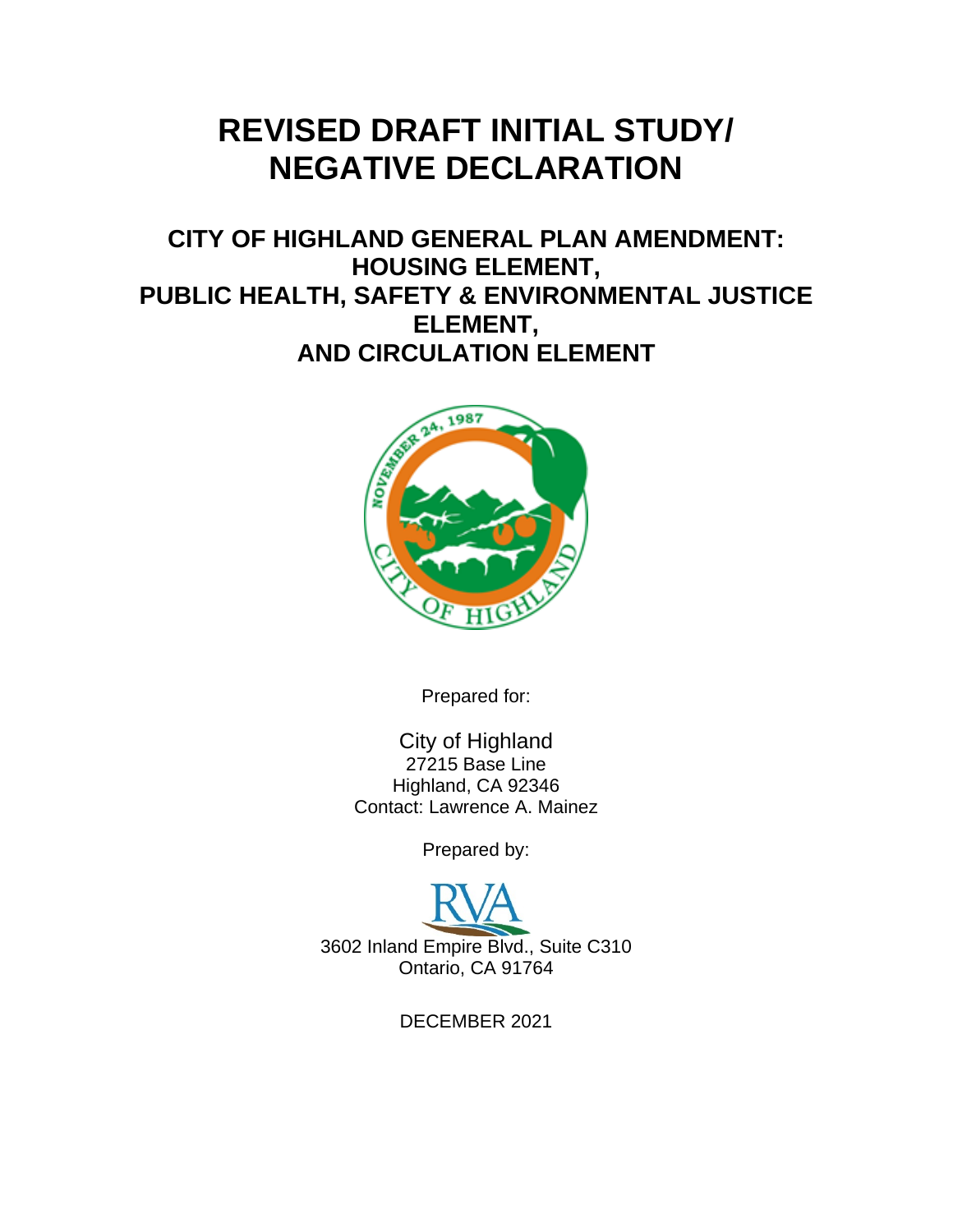# **REVISED DRAFT INITIAL STUDY/ NEGATIVE DECLARATION**

**CITY OF HIGHLAND GENERAL PLAN AMENDMENT: HOUSING ELEMENT, PUBLIC HEALTH, SAFETY & ENVIRONMENTAL JUSTICE ELEMENT, AND CIRCULATION ELEMENT**



Prepared for:

City of Highland 27215 Base Line Highland, CA 92346 Contact: Lawrence A. Mainez

Prepared by:



DECEMBER 2021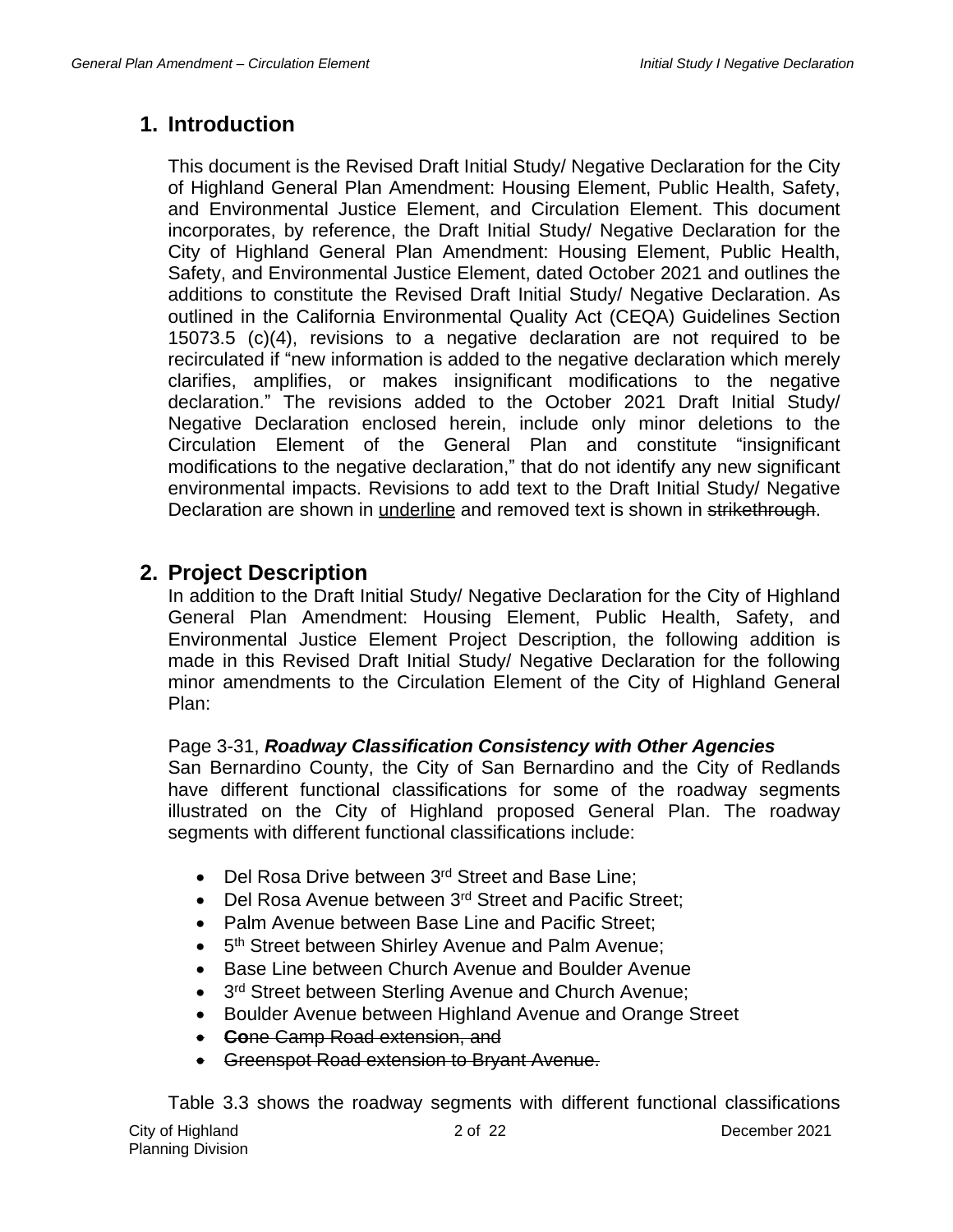# **1. Introduction**

This document is the Revised Draft Initial Study/ Negative Declaration for the City of Highland General Plan Amendment: Housing Element, Public Health, Safety, and Environmental Justice Element, and Circulation Element. This document incorporates, by reference, the Draft Initial Study/ Negative Declaration for the City of Highland General Plan Amendment: Housing Element, Public Health, Safety, and Environmental Justice Element, dated October 2021 and outlines the additions to constitute the Revised Draft Initial Study/ Negative Declaration. As outlined in the California Environmental Quality Act (CEQA) Guidelines Section 15073.5 (c)(4), revisions to a negative declaration are not required to be recirculated if "new information is added to the negative declaration which merely clarifies, amplifies, or makes insignificant modifications to the negative declaration." The revisions added to the October 2021 Draft Initial Study/ Negative Declaration enclosed herein, include only minor deletions to the Circulation Element of the General Plan and constitute "insignificant modifications to the negative declaration," that do not identify any new significant environmental impacts. Revisions to add text to the Draft Initial Study/ Negative Declaration are shown in underline and removed text is shown in strikethrough.

## **2. Project Description**

In addition to the Draft Initial Study/ Negative Declaration for the City of Highland General Plan Amendment: Housing Element, Public Health, Safety, and Environmental Justice Element Project Description, the following addition is made in this Revised Draft Initial Study/ Negative Declaration for the following minor amendments to the Circulation Element of the City of Highland General Plan:

#### Page 3-31, *Roadway Classification Consistency with Other Agencies*

San Bernardino County, the City of San Bernardino and the City of Redlands have different functional classifications for some of the roadway segments illustrated on the City of Highland proposed General Plan. The roadway segments with different functional classifications include:

- Del Rosa Drive between 3<sup>rd</sup> Street and Base Line;
- Del Rosa Avenue between 3<sup>rd</sup> Street and Pacific Street:
- Palm Avenue between Base Line and Pacific Street;
- 5<sup>th</sup> Street between Shirley Avenue and Palm Avenue;
- Base Line between Church Avenue and Boulder Avenue
- $\bullet$ 3rd Street between Sterling Avenue and Church Avenue;
- Boulder Avenue between Highland Avenue and Orange Street
- **Co**ne Camp Road extension, and
- Greenspot Road extension to Bryant Avenue.

City of Highland Planning Division 2 of 22 December 2021 Table 3.3 shows the roadway segments with different functional classifications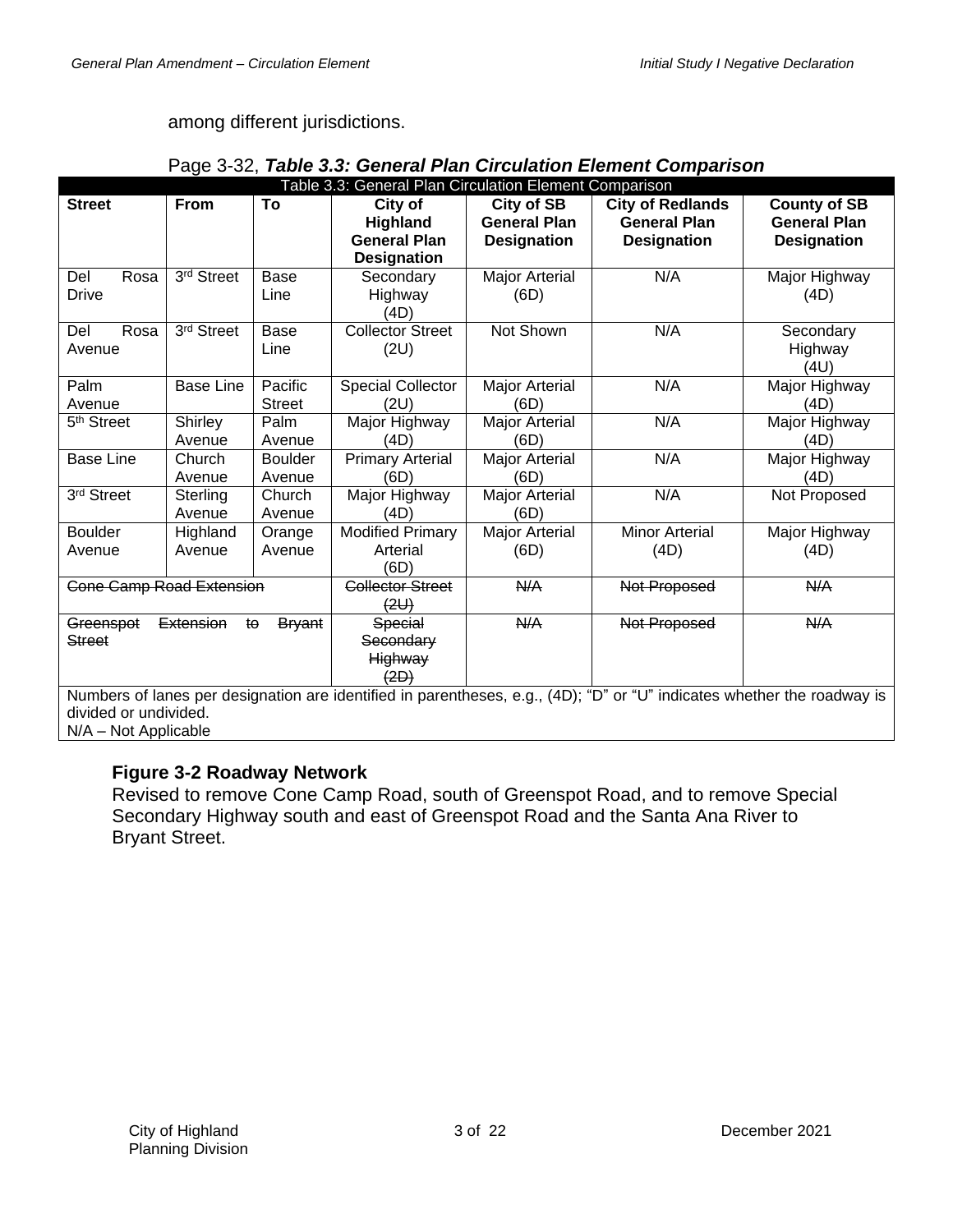## among different jurisdictions.

|                                 | - ت                |                          | Table 3.3: General Plan Circulation Element Comparison                  |                                                         |                                                                                                                         |                                                                  |
|---------------------------------|--------------------|--------------------------|-------------------------------------------------------------------------|---------------------------------------------------------|-------------------------------------------------------------------------------------------------------------------------|------------------------------------------------------------------|
| <b>Street</b>                   | <b>From</b>        | To                       | City of<br><b>Highland</b><br><b>General Plan</b><br><b>Designation</b> | City of SB<br><b>General Plan</b><br><b>Designation</b> | <b>City of Redlands</b><br><b>General Plan</b><br><b>Designation</b>                                                    | <b>County of SB</b><br><b>General Plan</b><br><b>Designation</b> |
| Del<br>Rosa<br>Drive            | 3rd Street         | <b>Base</b><br>Line      | Secondary<br>Highway<br>(4D)                                            | Major Arterial<br>(6D)                                  | N/A                                                                                                                     | Major Highway<br>(4D)                                            |
| Rosa<br>Del<br>Avenue           | 3rd Street         | <b>Base</b><br>Line      | <b>Collector Street</b><br>(2U)                                         | Not Shown                                               | N/A                                                                                                                     | Secondary<br>Highway<br>(4U)                                     |
| Palm<br>Avenue                  | <b>Base Line</b>   | Pacific<br><b>Street</b> | <b>Special Collector</b><br>(2U)                                        | <b>Major Arterial</b><br>(6D)                           | N/A                                                                                                                     | Major Highway<br>(4D)                                            |
| 5 <sup>th</sup> Street          | Shirley<br>Avenue  | Palm<br>Avenue           | Major Highway<br>(4D)                                                   | <b>Major Arterial</b><br>(6D)                           | N/A                                                                                                                     | Major Highway<br>(4D)                                            |
| <b>Base Line</b>                | Church<br>Avenue   | <b>Boulder</b><br>Avenue | <b>Primary Arterial</b><br>(6D)                                         | <b>Major Arterial</b><br>(6D)                           | N/A                                                                                                                     | Major Highway<br>(4D)                                            |
| 3rd Street                      | Sterling<br>Avenue | Church<br>Avenue         | Major Highway<br>(4D)                                                   | Major Arterial<br>(6D)                                  | N/A                                                                                                                     | Not Proposed                                                     |
| <b>Boulder</b>                  | Highland           | Orange                   | <b>Modified Primary</b>                                                 | <b>Major Arterial</b>                                   | <b>Minor Arterial</b>                                                                                                   | Major Highway                                                    |
| Avenue                          | Avenue             | Avenue                   | Arterial<br>(6D)                                                        | (6D)                                                    | (4D)                                                                                                                    | (4D)                                                             |
| <b>Cone Camp Road Extension</b> |                    |                          | <b>Collector Street</b><br>(2U)                                         | A                                                       | Not Proposed                                                                                                            | A/H                                                              |
| Greenspot<br><b>Street</b>      | Extension<br>ŧθ    | <b>Bryant</b>            | Special<br>Secondary<br>Highway<br><del>(2D)</del>                      | <b>N/A</b>                                              | Not Proposed                                                                                                            | $A\rightarrow A$                                                 |
|                                 |                    |                          |                                                                         |                                                         | Numbers of lanes per designation are identified in parentheses, e.g., (4D); "D" or "U" indicates whether the roadway is |                                                                  |

|  |  |  | Page 3-32, Table 3.3: General Plan Circulation Element Comparison |  |  |
|--|--|--|-------------------------------------------------------------------|--|--|
|  |  |  |                                                                   |  |  |

Numbers of lanes per designation are identified in parentheses, e.g., (4D); "D" or "U" indicates whether the roadway is divided or undivided.

N/A – Not Applicable

## **Figure 3-2 Roadway Network**

Revised to remove Cone Camp Road, south of Greenspot Road, and to remove Special Secondary Highway south and east of Greenspot Road and the Santa Ana River to Bryant Street.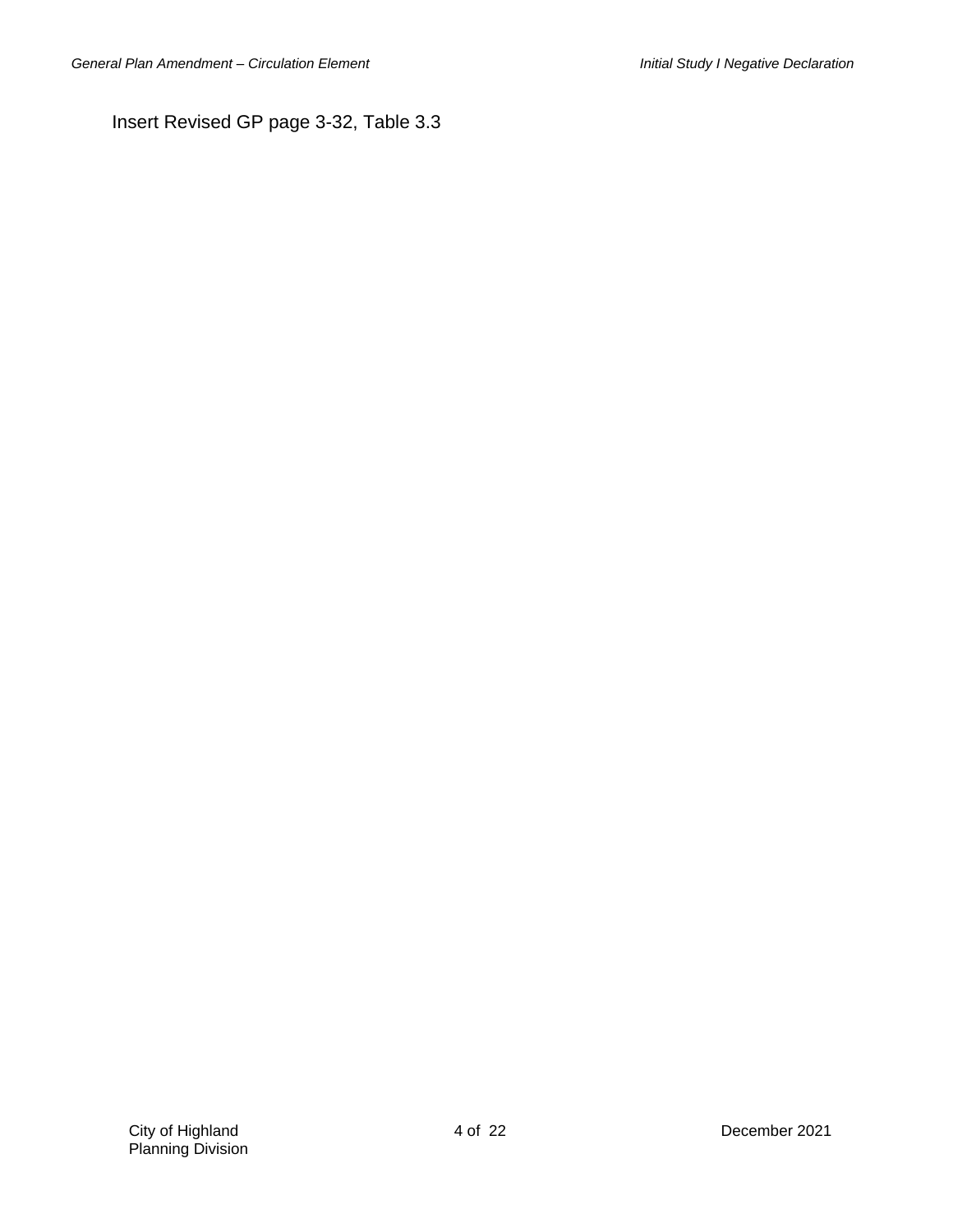Insert Revised GP page 3-32, Table 3.3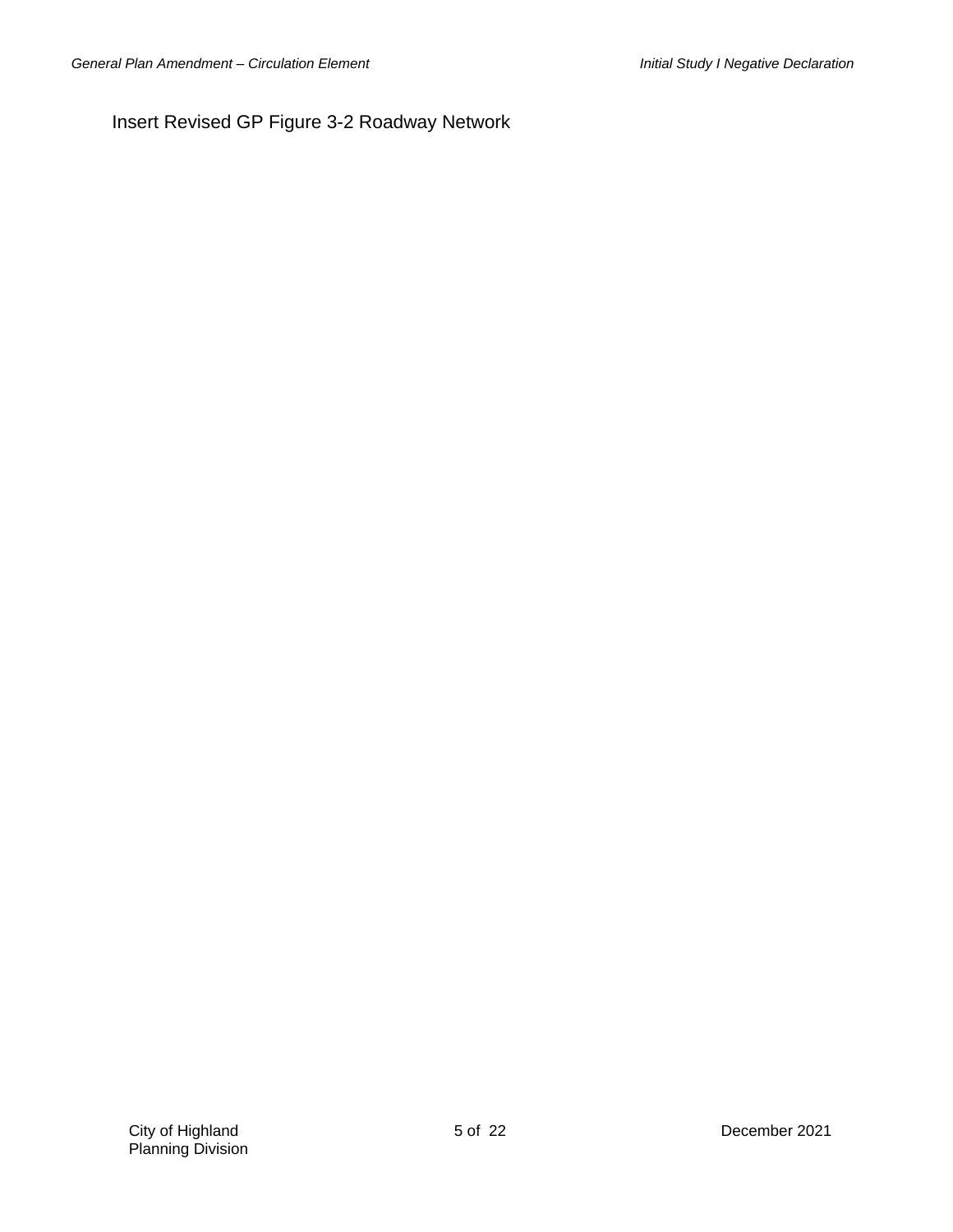Insert Revised GP Figure 3-2 Roadway Network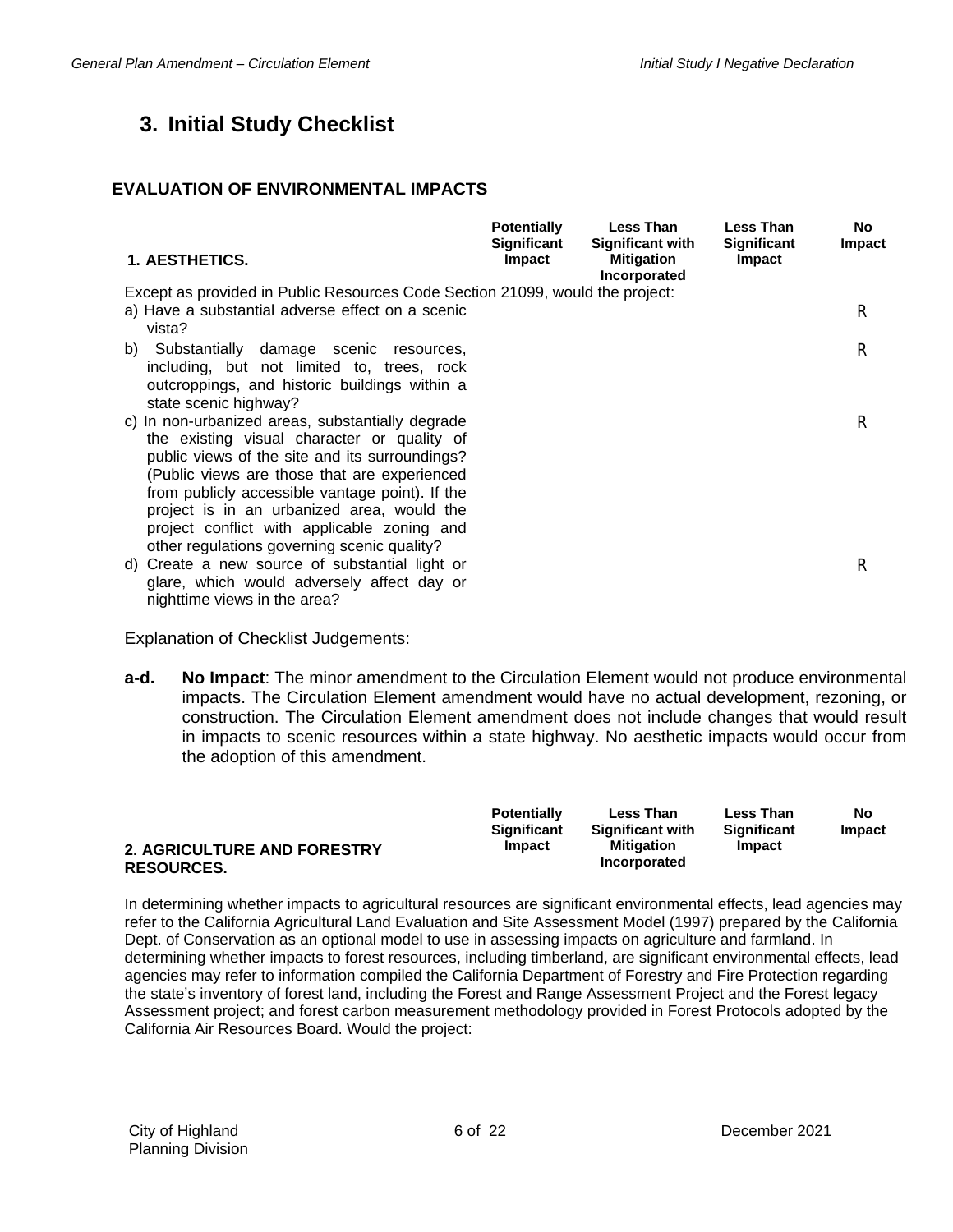# **3. Initial Study Checklist**

#### **EVALUATION OF ENVIRONMENTAL IMPACTS**

| 1. AESTHETICS.                                                                                                                                                                                                                                                                                                                                                                                   | <b>Potentially</b><br><b>Significant</b><br>Impact | Less Than<br><b>Significant with</b><br><b>Mitigation</b><br>Incorporated | <b>Less Than</b><br><b>Significant</b><br>Impact | <b>No</b><br>Impact |
|--------------------------------------------------------------------------------------------------------------------------------------------------------------------------------------------------------------------------------------------------------------------------------------------------------------------------------------------------------------------------------------------------|----------------------------------------------------|---------------------------------------------------------------------------|--------------------------------------------------|---------------------|
| Except as provided in Public Resources Code Section 21099, would the project:<br>a) Have a substantial adverse effect on a scenic<br>vista?                                                                                                                                                                                                                                                      |                                                    |                                                                           |                                                  | R                   |
| b) Substantially damage scenic resources,<br>including, but not limited to, trees, rock<br>outcroppings, and historic buildings within a<br>state scenic highway?                                                                                                                                                                                                                                |                                                    |                                                                           |                                                  | R                   |
| c) In non-urbanized areas, substantially degrade<br>the existing visual character or quality of<br>public views of the site and its surroundings?<br>(Public views are those that are experienced<br>from publicly accessible vantage point). If the<br>project is in an urbanized area, would the<br>project conflict with applicable zoning and<br>other regulations governing scenic quality? |                                                    |                                                                           |                                                  | R                   |
| Create a new source of substantial light or<br>d)<br>glare, which would adversely affect day or<br>nighttime views in the area?                                                                                                                                                                                                                                                                  |                                                    |                                                                           |                                                  | R                   |

Explanation of Checklist Judgements:

**a-d. No Impact**: The minor amendment to the Circulation Element would not produce environmental impacts. The Circulation Element amendment would have no actual development, rezoning, or construction. The Circulation Element amendment does not include changes that would result in impacts to scenic resources within a state highway. No aesthetic impacts would occur from the adoption of this amendment.

| 2. AGRICULTURE AND FORESTRY | <b>Potentially</b><br><b>Significant</b><br><b>Impact</b> | <b>Less Than</b><br><b>Significant with</b><br>Mitigation<br>Incorporated | <b>Less Than</b><br>Significant<br>Impact | No<br>Impact |
|-----------------------------|-----------------------------------------------------------|---------------------------------------------------------------------------|-------------------------------------------|--------------|
| <b>RESOURCES.</b>           |                                                           |                                                                           |                                           |              |

In determining whether impacts to agricultural resources are significant environmental effects, lead agencies may refer to the California Agricultural Land Evaluation and Site Assessment Model (1997) prepared by the California Dept. of Conservation as an optional model to use in assessing impacts on agriculture and farmland. In determining whether impacts to forest resources, including timberland, are significant environmental effects, lead agencies may refer to information compiled the California Department of Forestry and Fire Protection regarding the state's inventory of forest land, including the Forest and Range Assessment Project and the Forest legacy Assessment project; and forest carbon measurement methodology provided in Forest Protocols adopted by the California Air Resources Board. Would the project: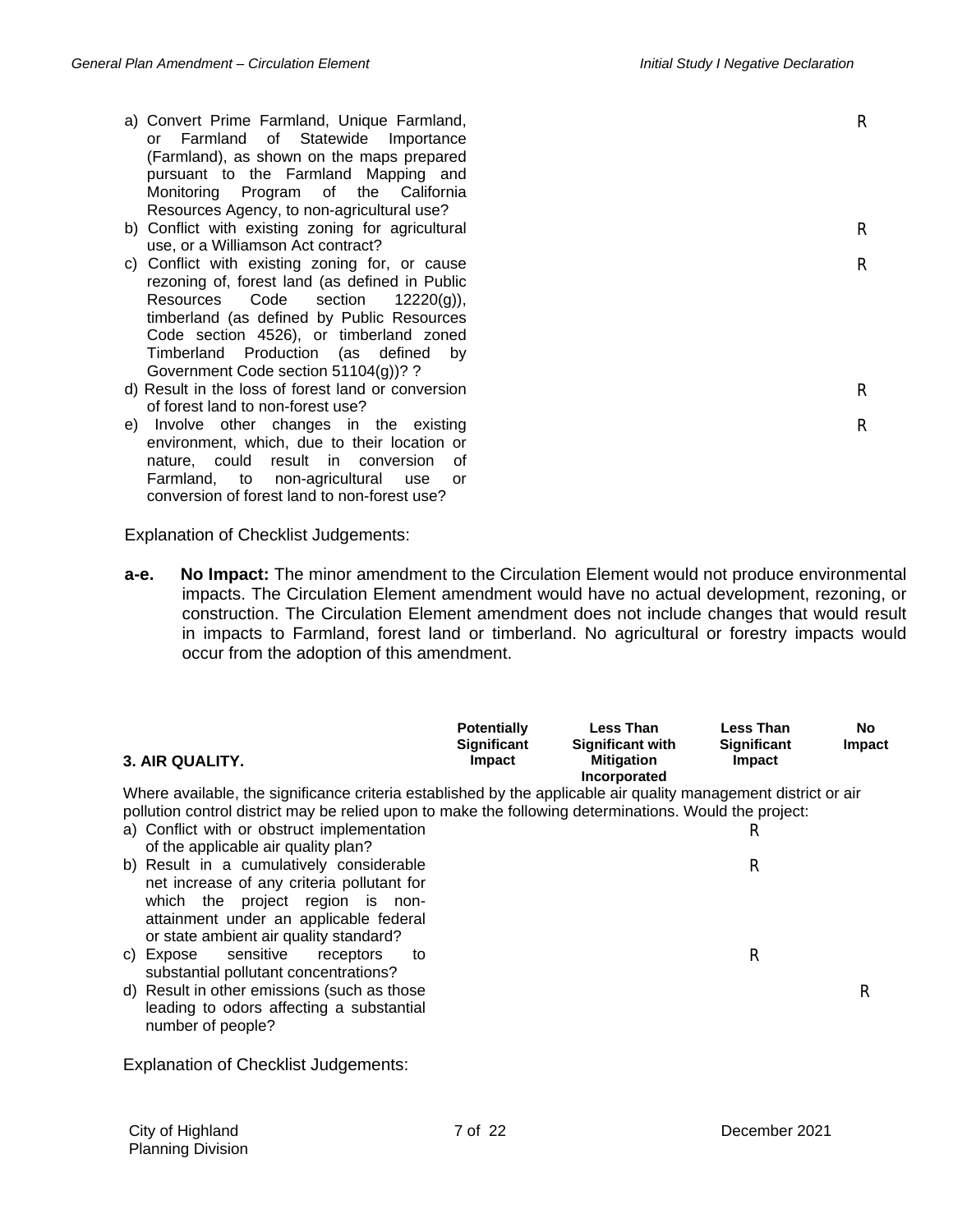R

R

R

R

- a) Convert Prime Farmland, Unique Farmland, or Farmland of Statewide Importance (Farmland), as shown on the maps prepared pursuant to the Farmland Mapping and Monitoring Program of the California Resources Agency, to non-agricultural use?
- b) Conflict with existing zoning for agricultural use, or a Williamson Act contract?
- c) Conflict with existing zoning for, or cause rezoning of, forest land (as defined in Public Resources Code section 12220(g)), timberland (as defined by Public Resources Code section 4526), or timberland zoned Timberland Production (as defined by Government Code section 51104(g))? ?
- d) Result in the loss of forest land or conversion of forest land to non-forest use?
- e) Involve other changes in the existing environment, which, due to their location or nature, could result in conversion of Farmland, to non-agricultural use or conversion of forest land to non-forest use?

Explanation of Checklist Judgements:

**a-e. No Impact:** The minor amendment to the Circulation Element would not produce environmental impacts. The Circulation Element amendment would have no actual development, rezoning, or construction. The Circulation Element amendment does not include changes that would result in impacts to Farmland, forest land or timberland. No agricultural or forestry impacts would occur from the adoption of this amendment.

| 3. AIR QUALITY.                                                                                                                                                    | <b>Potentially</b><br>Significant<br>Impact | <b>Less Than</b><br><b>Significant with</b><br><b>Mitigation</b><br>Incorporated | <b>Less Than</b><br><b>Significant</b><br>Impact | <b>No</b><br>Impact |
|--------------------------------------------------------------------------------------------------------------------------------------------------------------------|---------------------------------------------|----------------------------------------------------------------------------------|--------------------------------------------------|---------------------|
| Where available, the significance criteria established by the applicable air quality management district or air                                                    |                                             |                                                                                  |                                                  |                     |
| pollution control district may be relied upon to make the following determinations. Would the project:                                                             |                                             |                                                                                  |                                                  |                     |
| a) Conflict with or obstruct implementation<br>of the applicable air quality plan?                                                                                 |                                             |                                                                                  | R                                                |                     |
| b) Result in a cumulatively considerable                                                                                                                           |                                             |                                                                                  | R                                                |                     |
| net increase of any criteria pollutant for<br>which the project region is non-<br>attainment under an applicable federal<br>or state ambient air quality standard? |                                             |                                                                                  |                                                  |                     |
| c) Expose sensitive<br>receptors<br>to<br>substantial pollutant concentrations?                                                                                    |                                             |                                                                                  | R                                                |                     |
| d) Result in other emissions (such as those<br>leading to odors affecting a substantial<br>number of people?                                                       |                                             |                                                                                  |                                                  | R                   |
| <b>Explanation of Checklist Judgements:</b>                                                                                                                        |                                             |                                                                                  |                                                  |                     |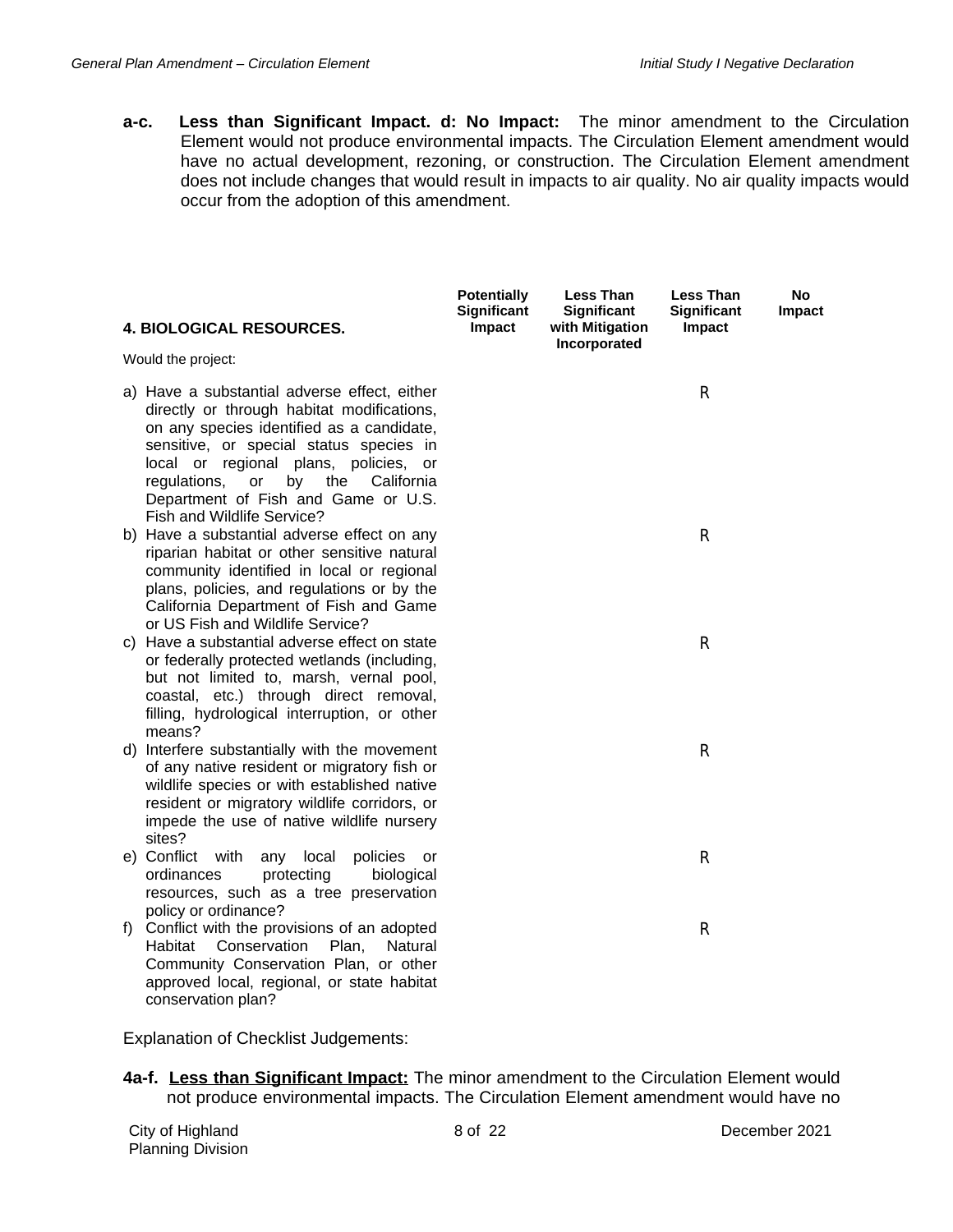**a-c. Less than Significant Impact. d: No Impact:** The minor amendment to the Circulation Element would not produce environmental impacts. The Circulation Element amendment would have no actual development, rezoning, or construction. The Circulation Element amendment does not include changes that would result in impacts to air quality. No air quality impacts would occur from the adoption of this amendment.

| <b>4. BIOLOGICAL RESOURCES.</b>                                                                                                                                                                                                                                                                                                                   | <b>Potentially</b><br><b>Significant</b><br>Impact | <b>Less Than</b><br>Significant<br>with Mitigation | <b>Less Than</b><br><b>Significant</b><br>Impact | No<br>Impact |
|---------------------------------------------------------------------------------------------------------------------------------------------------------------------------------------------------------------------------------------------------------------------------------------------------------------------------------------------------|----------------------------------------------------|----------------------------------------------------|--------------------------------------------------|--------------|
| Would the project:                                                                                                                                                                                                                                                                                                                                |                                                    | Incorporated                                       |                                                  |              |
| a) Have a substantial adverse effect, either<br>directly or through habitat modifications,<br>on any species identified as a candidate,<br>sensitive, or special status species in<br>local or regional plans, policies, or<br>by<br>the<br>regulations,<br>or<br>California<br>Department of Fish and Game or U.S.<br>Fish and Wildlife Service? |                                                    |                                                    | R                                                |              |
| b) Have a substantial adverse effect on any<br>riparian habitat or other sensitive natural<br>community identified in local or regional<br>plans, policies, and regulations or by the<br>California Department of Fish and Game<br>or US Fish and Wildlife Service?                                                                               |                                                    |                                                    | R                                                |              |
| c) Have a substantial adverse effect on state<br>or federally protected wetlands (including,<br>but not limited to, marsh, vernal pool,<br>coastal, etc.) through direct removal,<br>filling, hydrological interruption, or other<br>means?                                                                                                       |                                                    |                                                    | R                                                |              |
| d) Interfere substantially with the movement<br>of any native resident or migratory fish or<br>wildlife species or with established native<br>resident or migratory wildlife corridors, or<br>impede the use of native wildlife nursery<br>sites?                                                                                                 |                                                    |                                                    | R                                                |              |
| e) Conflict with<br>local<br>policies<br>any<br>or<br>ordinances<br>protecting<br>biological<br>resources, such as a tree preservation<br>policy or ordinance?                                                                                                                                                                                    |                                                    |                                                    | R                                                |              |
| f) Conflict with the provisions of an adopted<br>Conservation<br>Habitat<br>Plan,<br>Natural<br>Community Conservation Plan, or other<br>approved local, regional, or state habitat<br>conservation plan?                                                                                                                                         |                                                    |                                                    | R                                                |              |

Explanation of Checklist Judgements:

**4a-f. Less than Significant Impact:** The minor amendment to the Circulation Element would not produce environmental impacts. The Circulation Element amendment would have no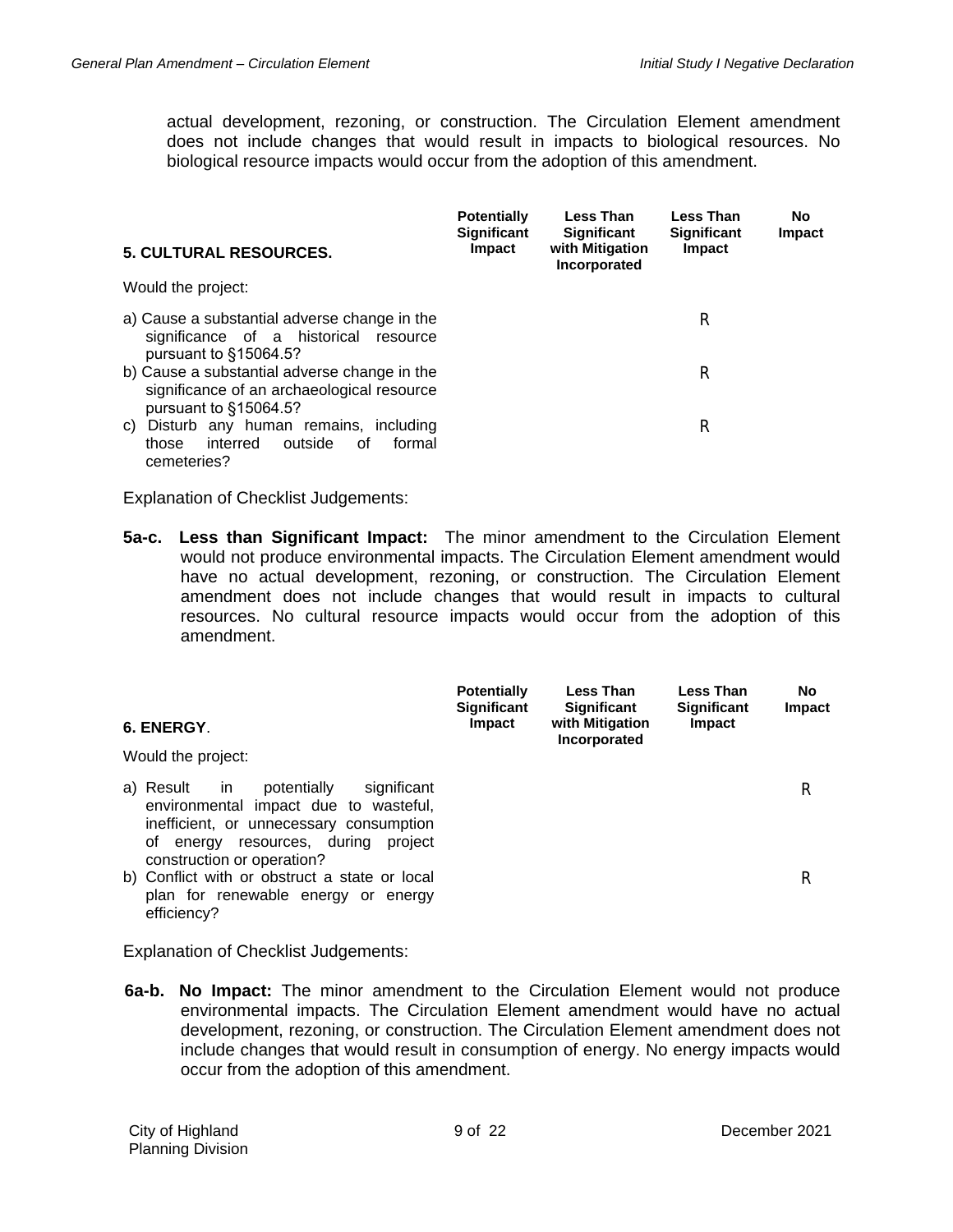actual development, rezoning, or construction. The Circulation Element amendment does not include changes that would result in impacts to biological resources. No biological resource impacts would occur from the adoption of this amendment.

| <b>5. CULTURAL RESOURCES.</b>                                                                                       | <b>Potentially</b><br><b>Significant</b><br><b>Impact</b> | Less Than<br><b>Significant</b><br>with Mitigation<br>Incorporated | <b>Less Than</b><br><b>Significant</b><br>Impact | <b>No</b><br>Impact |
|---------------------------------------------------------------------------------------------------------------------|-----------------------------------------------------------|--------------------------------------------------------------------|--------------------------------------------------|---------------------|
| Would the project:                                                                                                  |                                                           |                                                                    |                                                  |                     |
| a) Cause a substantial adverse change in the<br>significance of a historical resource<br>pursuant to §15064.5?      |                                                           |                                                                    | R                                                |                     |
| b) Cause a substantial adverse change in the<br>significance of an archaeological resource<br>pursuant to §15064.5? |                                                           |                                                                    | R                                                |                     |
| Disturb any human remains, including<br>C)<br>interred<br>outside<br>formal<br>those<br>0f<br>cemeteries?           |                                                           |                                                                    | R                                                |                     |

Explanation of Checklist Judgements:

**5a-c. Less than Significant Impact:** The minor amendment to the Circulation Element would not produce environmental impacts. The Circulation Element amendment would have no actual development, rezoning, or construction. The Circulation Element amendment does not include changes that would result in impacts to cultural resources. No cultural resource impacts would occur from the adoption of this amendment.

| 6. ENERGY.<br>Would the project:                                                                                                                                                                              | <b>Potentially</b><br><b>Significant</b><br><b>Impact</b> | Less Than<br><b>Significant</b><br>with Mitigation<br>Incorporated | Less Than<br><b>Significant</b><br>Impact | No.<br>Impact |
|---------------------------------------------------------------------------------------------------------------------------------------------------------------------------------------------------------------|-----------------------------------------------------------|--------------------------------------------------------------------|-------------------------------------------|---------------|
| a) Result<br>potentially<br>significant<br>-in<br>environmental impact due to wasteful,<br>inefficient, or unnecessary consumption<br>energy resources, during<br>project<br>οf<br>construction or operation? |                                                           |                                                                    |                                           | R             |
| b) Conflict with or obstruct a state or local<br>plan for renewable energy or energy<br>efficiency?                                                                                                           |                                                           |                                                                    |                                           | R             |

Explanation of Checklist Judgements:

**6a-b. No Impact:** The minor amendment to the Circulation Element would not produce environmental impacts. The Circulation Element amendment would have no actual development, rezoning, or construction. The Circulation Element amendment does not include changes that would result in consumption of energy. No energy impacts would occur from the adoption of this amendment.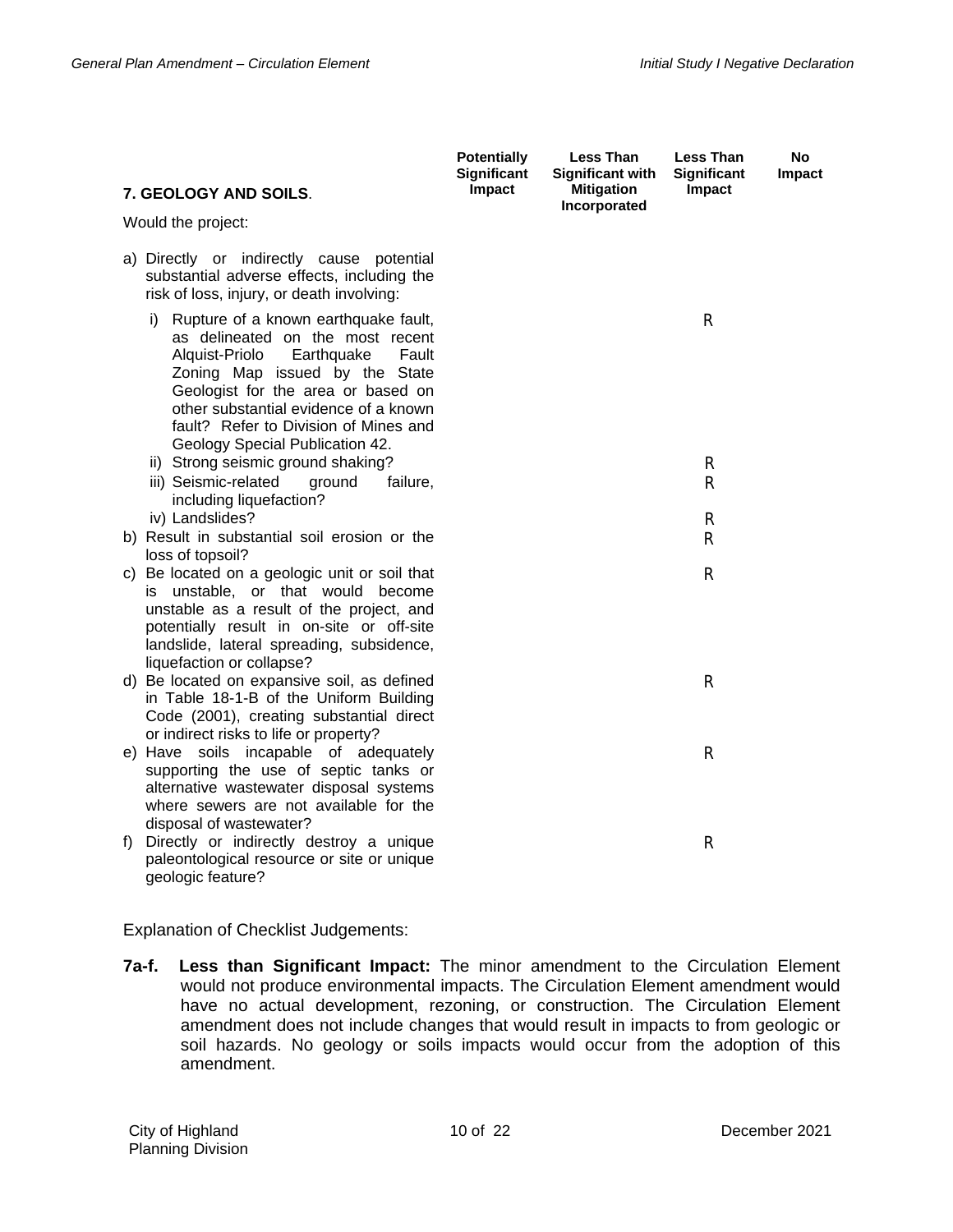| 7. GEOLOGY AND SOILS.                                                                                                                                                                                                                                                                                                | <b>Potentially</b><br><b>Significant</b><br>Impact | <b>Less Than</b><br><b>Significant with</b><br><b>Mitigation</b> | <b>Less Than</b><br>Significant<br>Impact | <b>No</b><br>Impact |
|----------------------------------------------------------------------------------------------------------------------------------------------------------------------------------------------------------------------------------------------------------------------------------------------------------------------|----------------------------------------------------|------------------------------------------------------------------|-------------------------------------------|---------------------|
| Would the project:                                                                                                                                                                                                                                                                                                   |                                                    | Incorporated                                                     |                                           |                     |
| a) Directly or indirectly cause potential<br>substantial adverse effects, including the<br>risk of loss, injury, or death involving:                                                                                                                                                                                 |                                                    |                                                                  |                                           |                     |
| Rupture of a known earthquake fault,<br>i)<br>as delineated on the most recent<br>Alquist-Priolo<br>Earthquake<br>Fault<br>Zoning Map issued by the State<br>Geologist for the area or based on<br>other substantial evidence of a known<br>fault? Refer to Division of Mines and<br>Geology Special Publication 42. |                                                    |                                                                  | R                                         |                     |
| ii) Strong seismic ground shaking?<br>iii) Seismic-related<br>ground<br>failure,                                                                                                                                                                                                                                     |                                                    |                                                                  | R<br>$\mathsf{R}$                         |                     |
| including liquefaction?<br>iv) Landslides?                                                                                                                                                                                                                                                                           |                                                    |                                                                  | R                                         |                     |
| b) Result in substantial soil erosion or the<br>loss of topsoil?                                                                                                                                                                                                                                                     |                                                    |                                                                  | R                                         |                     |
| c) Be located on a geologic unit or soil that<br>is unstable, or that would become<br>unstable as a result of the project, and<br>potentially result in on-site or off-site<br>landslide, lateral spreading, subsidence,<br>liquefaction or collapse?                                                                |                                                    |                                                                  | $\mathsf{R}$                              |                     |
| d) Be located on expansive soil, as defined<br>in Table 18-1-B of the Uniform Building<br>Code (2001), creating substantial direct<br>or indirect risks to life or property?                                                                                                                                         |                                                    |                                                                  | R                                         |                     |
| e) Have soils incapable of adequately<br>supporting the use of septic tanks or<br>alternative wastewater disposal systems<br>where sewers are not available for the<br>disposal of wastewater?                                                                                                                       |                                                    |                                                                  | $\mathsf{R}$                              |                     |
| Directly or indirectly destroy a unique<br>f)<br>paleontological resource or site or unique<br>geologic feature?                                                                                                                                                                                                     |                                                    |                                                                  | R                                         |                     |

**7a-f. Less than Significant Impact:** The minor amendment to the Circulation Element would not produce environmental impacts. The Circulation Element amendment would have no actual development, rezoning, or construction. The Circulation Element amendment does not include changes that would result in impacts to from geologic or soil hazards. No geology or soils impacts would occur from the adoption of this amendment.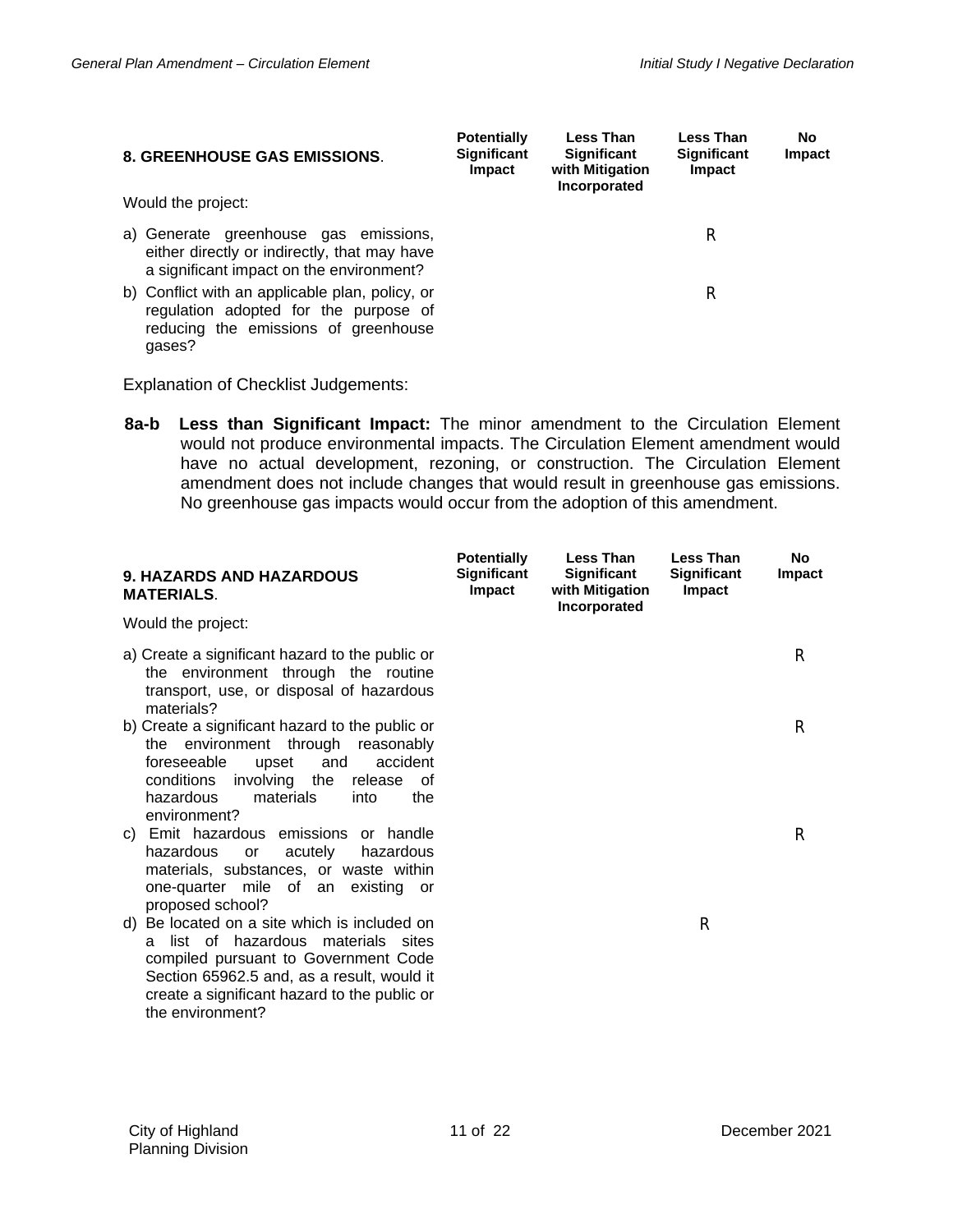| <b>8. GREENHOUSE GAS EMISSIONS.</b>                                                                                                        | <b>Potentially</b><br><b>Significant</b><br>Impact | <b>Less Than</b><br><b>Significant</b><br>with Mitigation<br>Incorporated | <b>Less Than</b><br><b>Significant</b><br>Impact | No<br>Impact |
|--------------------------------------------------------------------------------------------------------------------------------------------|----------------------------------------------------|---------------------------------------------------------------------------|--------------------------------------------------|--------------|
| Would the project:                                                                                                                         |                                                    |                                                                           |                                                  |              |
| a) Generate greenhouse gas emissions,<br>either directly or indirectly, that may have<br>a significant impact on the environment?          |                                                    |                                                                           | R                                                |              |
| b) Conflict with an applicable plan, policy, or<br>regulation adopted for the purpose of<br>reducing the emissions of greenhouse<br>qases? |                                                    |                                                                           | R                                                |              |

**8a-b Less than Significant Impact:** The minor amendment to the Circulation Element would not produce environmental impacts. The Circulation Element amendment would have no actual development, rezoning, or construction. The Circulation Element amendment does not include changes that would result in greenhouse gas emissions. No greenhouse gas impacts would occur from the adoption of this amendment.

| <b>9. HAZARDS AND HAZARDOUS</b><br><b>MATERIALS.</b>                                                                                                                                                                                                | <b>Potentially</b><br>Significant<br>Impact | Less Than<br>Significant<br>with Mitigation<br>Incorporated | <b>Less Than</b><br><b>Significant</b><br>Impact | No<br>Impact |
|-----------------------------------------------------------------------------------------------------------------------------------------------------------------------------------------------------------------------------------------------------|---------------------------------------------|-------------------------------------------------------------|--------------------------------------------------|--------------|
| Would the project:                                                                                                                                                                                                                                  |                                             |                                                             |                                                  |              |
| a) Create a significant hazard to the public or<br>the environment through the routine<br>transport, use, or disposal of hazardous<br>materials?                                                                                                    |                                             |                                                             |                                                  | R            |
| b) Create a significant hazard to the public or<br>the environment through reasonably<br>foreseeable<br>accident<br>upset<br>and<br>conditions<br>involving the<br>release of<br>hazardous<br>materials<br>the<br>into<br>environment?              |                                             |                                                             |                                                  | R            |
| c) Emit hazardous emissions<br>or handle<br>hazardous<br>acutely<br>or<br>hazardous<br>materials, substances, or waste within<br>one-quarter mile of an existing or<br>proposed school?                                                             |                                             |                                                             |                                                  | R            |
| Be located on a site which is included on<br>d)<br>list of hazardous materials sites<br>a<br>compiled pursuant to Government Code<br>Section 65962.5 and, as a result, would it<br>create a significant hazard to the public or<br>the environment? |                                             |                                                             | R                                                |              |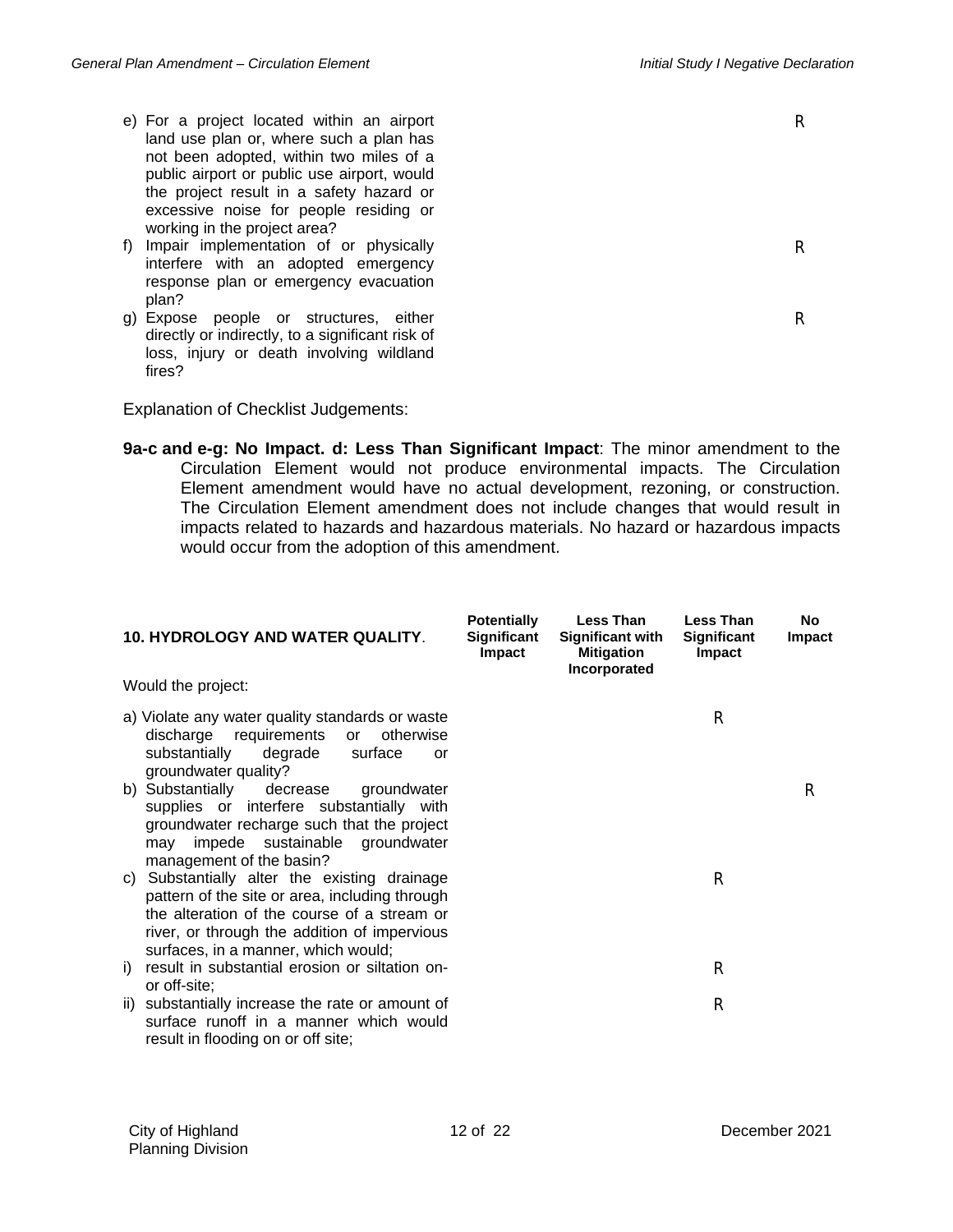R

R

- e) For a project located within an airport land use plan or, where such a plan has not been adopted, within two miles of a public airport or public use airport, would the project result in a safety hazard or excessive noise for people residing or working in the project area?
- f) Impair implementation of or physically interfere with an adopted emergency response plan or emergency evacuation plan?
- g) Expose people or structures, either directly or indirectly, to a significant risk of loss, injury or death involving wildland fires?

Explanation of Checklist Judgements:

**9a-c and e-g: No Impact. d: Less Than Significant Impact**: The minor amendment to the Circulation Element would not produce environmental impacts. The Circulation Element amendment would have no actual development, rezoning, or construction. The Circulation Element amendment does not include changes that would result in impacts related to hazards and hazardous materials. No hazard or hazardous impacts would occur from the adoption of this amendment.

| <b>10. HYDROLOGY AND WATER QUALITY.</b>                                                                                                                                                                                                 | <b>Potentially</b><br>Significant<br>Impact | <b>Less Than</b><br><b>Significant with</b><br><b>Mitigation</b><br>Incorporated | <b>Less Than</b><br>Significant<br>Impact | <b>No</b><br><b>Impact</b> |
|-----------------------------------------------------------------------------------------------------------------------------------------------------------------------------------------------------------------------------------------|---------------------------------------------|----------------------------------------------------------------------------------|-------------------------------------------|----------------------------|
| Would the project:                                                                                                                                                                                                                      |                                             |                                                                                  |                                           |                            |
| a) Violate any water quality standards or waste<br>discharge requirements<br>otherwise<br>$\mathsf{or}$<br>substantially<br>degrade<br>surface<br>or<br>groundwater quality?                                                            |                                             |                                                                                  | R                                         |                            |
| b) Substantially<br>decrease<br>groundwater<br>supplies or interfere substantially with<br>groundwater recharge such that the project<br>impede sustainable groundwater<br>may<br>management of the basin?                              |                                             |                                                                                  |                                           | R                          |
| Substantially alter the existing drainage<br>C)<br>pattern of the site or area, including through<br>the alteration of the course of a stream or<br>river, or through the addition of impervious<br>surfaces, in a manner, which would; |                                             |                                                                                  | R                                         |                            |
| result in substantial erosion or siltation on-<br>i)<br>or off-site;                                                                                                                                                                    |                                             |                                                                                  | R                                         |                            |
| substantially increase the rate or amount of<br>ii)<br>surface runoff in a manner which would<br>result in flooding on or off site;                                                                                                     |                                             |                                                                                  | R                                         |                            |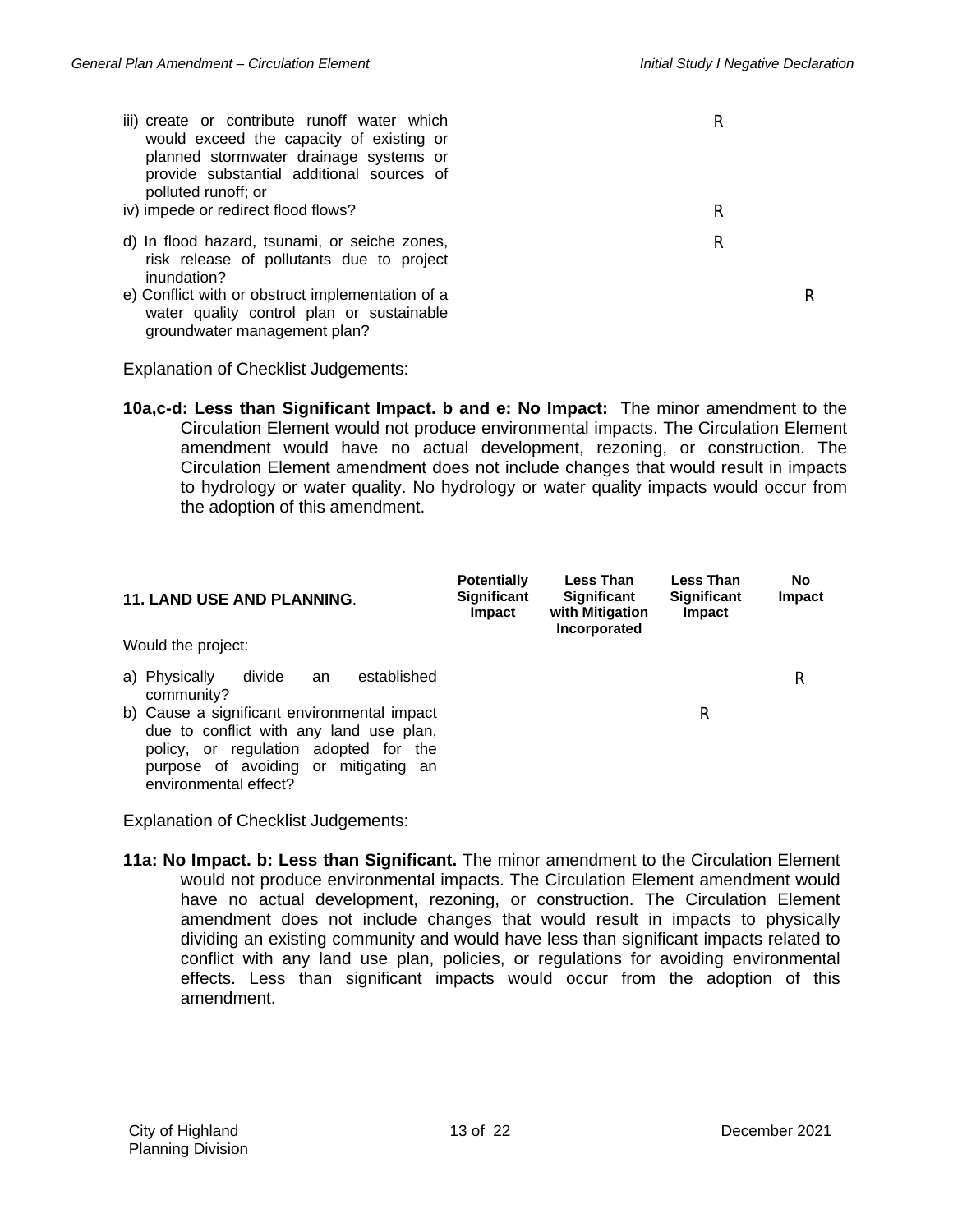R

R

- iii) create or contribute runoff water which would exceed the capacity of existing or planned stormwater drainage systems or provide substantial additional sources of polluted runoff; or
- iv) impede or redirect flood flows? R
- d) In flood hazard, tsunami, or seiche zones, risk release of pollutants due to project inundation?
- e) Conflict with or obstruct implementation of a water quality control plan or sustainable groundwater management plan?

Explanation of Checklist Judgements:

**10a,c-d: Less than Significant Impact. b and e: No Impact:** The minor amendment to the Circulation Element would not produce environmental impacts. The Circulation Element amendment would have no actual development, rezoning, or construction. The Circulation Element amendment does not include changes that would result in impacts to hydrology or water quality. No hydrology or water quality impacts would occur from the adoption of this amendment.

| <b>11. LAND USE AND PLANNING.</b>                                                                                                                                                                | <b>Potentially</b><br><b>Significant</b><br><b>Impact</b> | <b>Less Than</b><br><b>Significant</b><br>with Mitigation<br>Incorporated | Less Than<br><b>Significant</b><br>Impact | No<br><b>Impact</b> |
|--------------------------------------------------------------------------------------------------------------------------------------------------------------------------------------------------|-----------------------------------------------------------|---------------------------------------------------------------------------|-------------------------------------------|---------------------|
| Would the project:                                                                                                                                                                               |                                                           |                                                                           |                                           |                     |
| established<br>a) Physically<br>divide<br>an<br>community?                                                                                                                                       |                                                           |                                                                           |                                           | R                   |
| b) Cause a significant environmental impact<br>due to conflict with any land use plan,<br>policy, or regulation adopted for the<br>purpose of avoiding or mitigating an<br>environmental effect? |                                                           |                                                                           | R                                         |                     |

Explanation of Checklist Judgements:

**11a: No Impact. b: Less than Significant.** The minor amendment to the Circulation Element would not produce environmental impacts. The Circulation Element amendment would have no actual development, rezoning, or construction. The Circulation Element amendment does not include changes that would result in impacts to physically dividing an existing community and would have less than significant impacts related to conflict with any land use plan, policies, or regulations for avoiding environmental effects. Less than significant impacts would occur from the adoption of this amendment.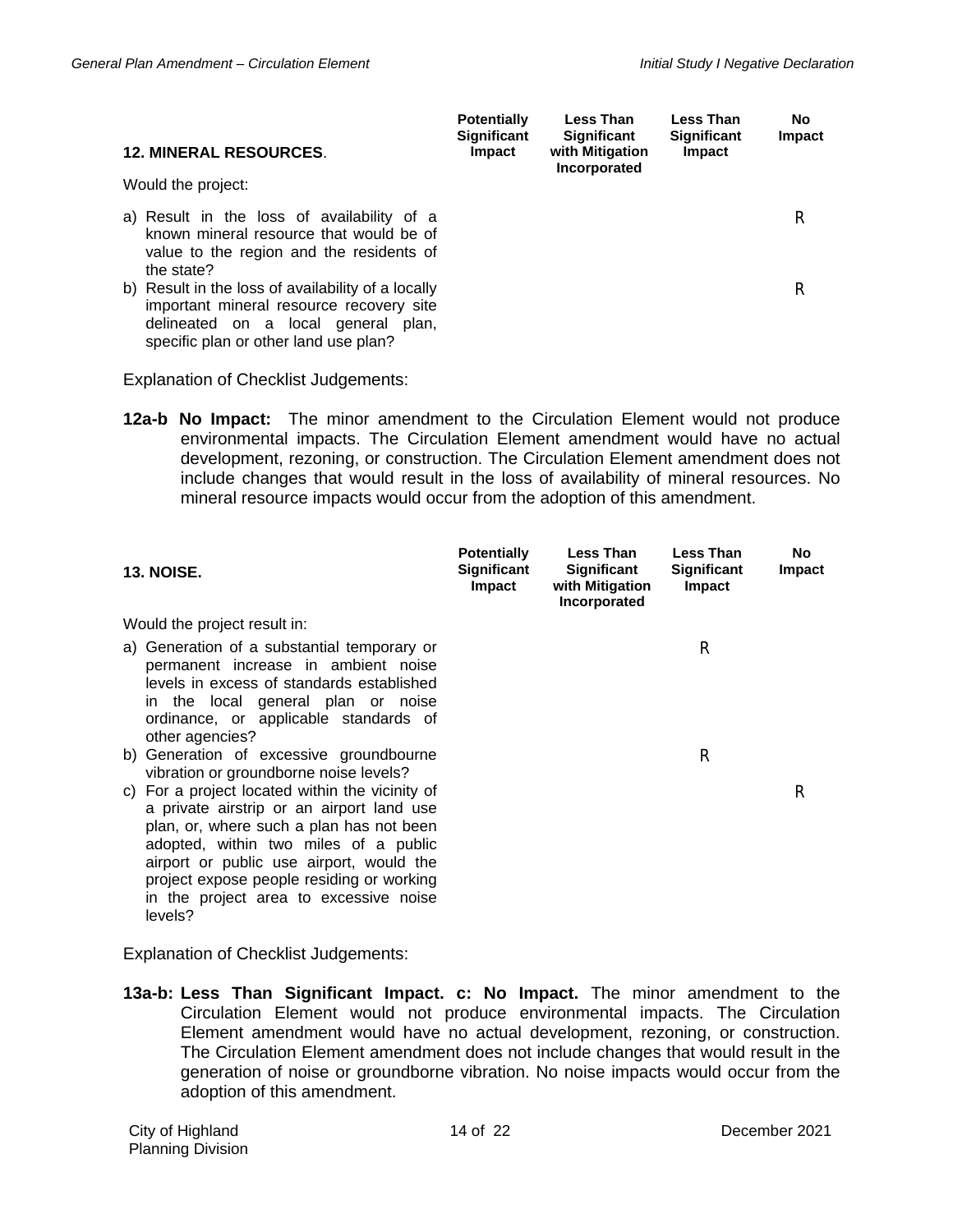| <b>12. MINERAL RESOURCES.</b><br>Would the project:                                                                                                                            | <b>Potentially</b><br><b>Significant</b><br><b>Impact</b> | <b>Less Than</b><br><b>Significant</b><br>with Mitigation<br>Incorporated | Less Than<br><b>Significant</b><br><b>Impact</b> | No.<br>Impact |
|--------------------------------------------------------------------------------------------------------------------------------------------------------------------------------|-----------------------------------------------------------|---------------------------------------------------------------------------|--------------------------------------------------|---------------|
| a) Result in the loss of availability of a<br>known mineral resource that would be of<br>value to the region and the residents of<br>the state?                                |                                                           |                                                                           |                                                  | R             |
| b) Result in the loss of availability of a locally<br>important mineral resource recovery site<br>delineated on a local general plan,<br>specific plan or other land use plan? |                                                           |                                                                           |                                                  | R             |

**12a-b No Impact:** The minor amendment to the Circulation Element would not produce environmental impacts. The Circulation Element amendment would have no actual development, rezoning, or construction. The Circulation Element amendment does not include changes that would result in the loss of availability of mineral resources. No mineral resource impacts would occur from the adoption of this amendment.

| <b>13. NOISE.</b>                                                                                                                                                                                                                                                                                                                  | <b>Potentially</b><br><b>Significant</b><br><b>Impact</b> | Less Than<br>Significant<br>with Mitigation<br>Incorporated | <b>Less Than</b><br>Significant<br><b>Impact</b> | No.<br><b>Impact</b> |
|------------------------------------------------------------------------------------------------------------------------------------------------------------------------------------------------------------------------------------------------------------------------------------------------------------------------------------|-----------------------------------------------------------|-------------------------------------------------------------|--------------------------------------------------|----------------------|
| Would the project result in:                                                                                                                                                                                                                                                                                                       |                                                           |                                                             |                                                  |                      |
| a) Generation of a substantial temporary or<br>permanent increase in ambient noise<br>levels in excess of standards established<br>in the local general plan or noise<br>ordinance, or applicable standards of<br>other agencies?                                                                                                  |                                                           |                                                             | R                                                |                      |
| b) Generation of excessive groundbourne<br>vibration or groundborne noise levels?                                                                                                                                                                                                                                                  |                                                           |                                                             | R                                                |                      |
| For a project located within the vicinity of<br>C)<br>a private airstrip or an airport land use<br>plan, or, where such a plan has not been<br>adopted, within two miles of a public<br>airport or public use airport, would the<br>project expose people residing or working<br>in the project area to excessive noise<br>levels? |                                                           |                                                             |                                                  | R                    |

Explanation of Checklist Judgements:

**13a-b: Less Than Significant Impact. c: No Impact.** The minor amendment to the Circulation Element would not produce environmental impacts. The Circulation Element amendment would have no actual development, rezoning, or construction. The Circulation Element amendment does not include changes that would result in the generation of noise or groundborne vibration. No noise impacts would occur from the adoption of this amendment.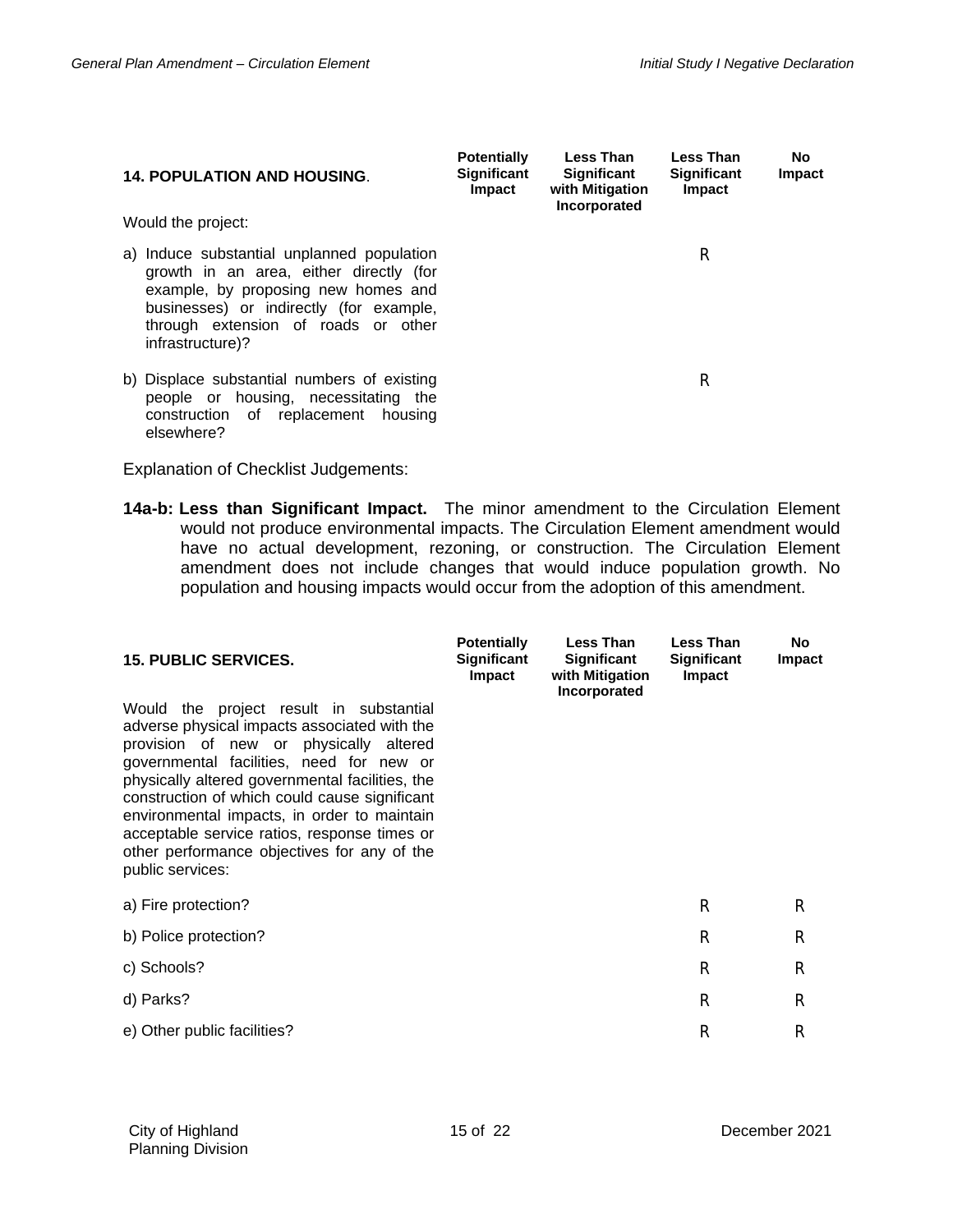| <b>14. POPULATION AND HOUSING.</b>                                                                                                                                                                                                 | <b>Potentially</b><br><b>Significant</b><br><b>Impact</b> | <b>Less Than</b><br><b>Significant</b><br>with Mitigation<br>Incorporated | Less Than<br><b>Significant</b><br>Impact | No.<br>Impact |
|------------------------------------------------------------------------------------------------------------------------------------------------------------------------------------------------------------------------------------|-----------------------------------------------------------|---------------------------------------------------------------------------|-------------------------------------------|---------------|
| Would the project:                                                                                                                                                                                                                 |                                                           |                                                                           |                                           |               |
| a) Induce substantial unplanned population<br>growth in an area, either directly (for<br>example, by proposing new homes and<br>businesses) or indirectly (for example,<br>through extension of roads or other<br>infrastructure)? |                                                           |                                                                           | R                                         |               |
| b) Displace substantial numbers of existing<br>people or housing, necessitating the<br>construction of replacement housing<br>elsewhere?                                                                                           |                                                           |                                                                           | R                                         |               |

**14a-b: Less than Significant Impact.** The minor amendment to the Circulation Element would not produce environmental impacts. The Circulation Element amendment would have no actual development, rezoning, or construction. The Circulation Element amendment does not include changes that would induce population growth. No population and housing impacts would occur from the adoption of this amendment.

| <b>15. PUBLIC SERVICES.</b>                                                                                                                                                                                                                                                                                                                                                                                                                            | <b>Potentially</b><br><b>Significant</b><br>Impact | <b>Less Than</b><br>Significant<br>with Mitigation<br>Incorporated | <b>Less Than</b><br>Significant<br>Impact | No<br>Impact |
|--------------------------------------------------------------------------------------------------------------------------------------------------------------------------------------------------------------------------------------------------------------------------------------------------------------------------------------------------------------------------------------------------------------------------------------------------------|----------------------------------------------------|--------------------------------------------------------------------|-------------------------------------------|--------------|
| the project result in substantial<br>Would<br>adverse physical impacts associated with the<br>provision of new or physically altered<br>governmental facilities, need for new or<br>physically altered governmental facilities, the<br>construction of which could cause significant<br>environmental impacts, in order to maintain<br>acceptable service ratios, response times or<br>other performance objectives for any of the<br>public services: |                                                    |                                                                    |                                           |              |
| a) Fire protection?                                                                                                                                                                                                                                                                                                                                                                                                                                    |                                                    |                                                                    | R                                         | R            |
| b) Police protection?                                                                                                                                                                                                                                                                                                                                                                                                                                  |                                                    |                                                                    | R                                         | R            |
| c) Schools?                                                                                                                                                                                                                                                                                                                                                                                                                                            |                                                    |                                                                    | R                                         | R            |
| d) Parks?                                                                                                                                                                                                                                                                                                                                                                                                                                              |                                                    |                                                                    | R                                         | R            |
| e) Other public facilities?                                                                                                                                                                                                                                                                                                                                                                                                                            |                                                    |                                                                    | R                                         | R            |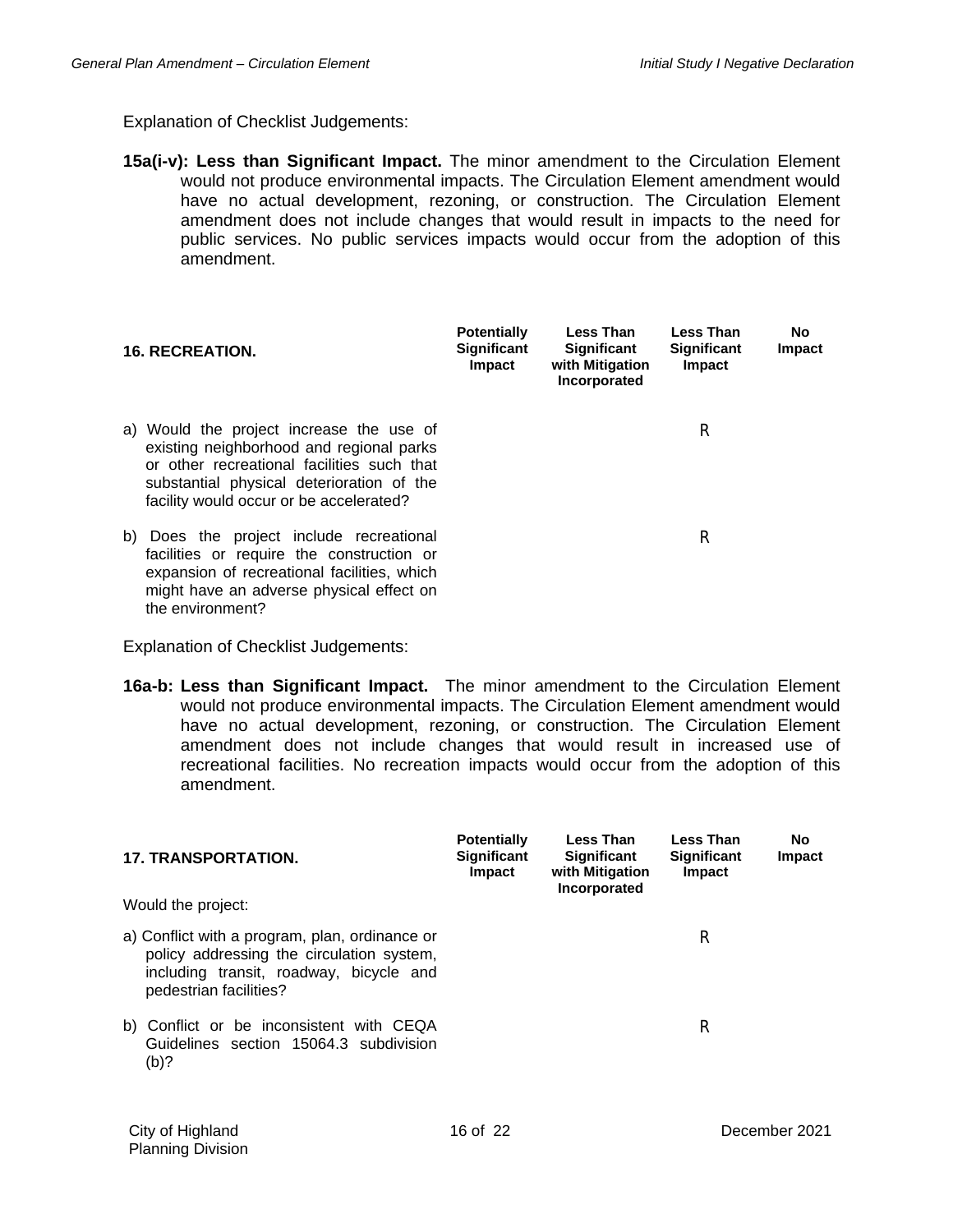**15a(i-v): Less than Significant Impact.** The minor amendment to the Circulation Element would not produce environmental impacts. The Circulation Element amendment would have no actual development, rezoning, or construction. The Circulation Element amendment does not include changes that would result in impacts to the need for public services. No public services impacts would occur from the adoption of this amendment.

|    | <b>16. RECREATION.</b>                                                                                                                                                                                                     | <b>Potentially</b><br><b>Significant</b><br>Impact | Less Than<br><b>Significant</b><br>with Mitigation<br>Incorporated | <b>Less Than</b><br><b>Significant</b><br><b>Impact</b> | No.<br>Impact |
|----|----------------------------------------------------------------------------------------------------------------------------------------------------------------------------------------------------------------------------|----------------------------------------------------|--------------------------------------------------------------------|---------------------------------------------------------|---------------|
|    | a) Would the project increase the use of<br>existing neighborhood and regional parks<br>or other recreational facilities such that<br>substantial physical deterioration of the<br>facility would occur or be accelerated? |                                                    |                                                                    | R                                                       |               |
| b) | Does the project include recreational<br>facilities or require the construction or<br>expansion of recreational facilities, which<br>might have an adverse physical effect on<br>the environment?                          |                                                    |                                                                    | R                                                       |               |

Explanation of Checklist Judgements:

**16a-b: Less than Significant Impact.** The minor amendment to the Circulation Element would not produce environmental impacts. The Circulation Element amendment would have no actual development, rezoning, or construction. The Circulation Element amendment does not include changes that would result in increased use of recreational facilities. No recreation impacts would occur from the adoption of this amendment.

| <b>17. TRANSPORTATION.</b>                                                                                                                                       | <b>Potentially</b><br><b>Significant</b><br><b>Impact</b> | Less Than<br><b>Significant</b><br>with Mitigation<br>Incorporated | <b>Less Than</b><br><b>Significant</b><br><b>Impact</b> | No<br>Impact |
|------------------------------------------------------------------------------------------------------------------------------------------------------------------|-----------------------------------------------------------|--------------------------------------------------------------------|---------------------------------------------------------|--------------|
| Would the project:                                                                                                                                               |                                                           |                                                                    |                                                         |              |
| a) Conflict with a program, plan, ordinance or<br>policy addressing the circulation system,<br>including transit, roadway, bicycle and<br>pedestrian facilities? |                                                           |                                                                    | R                                                       |              |
| b) Conflict or be inconsistent with CEQA<br>Guidelines section 15064.3 subdivision<br>(b)?                                                                       |                                                           |                                                                    | R                                                       |              |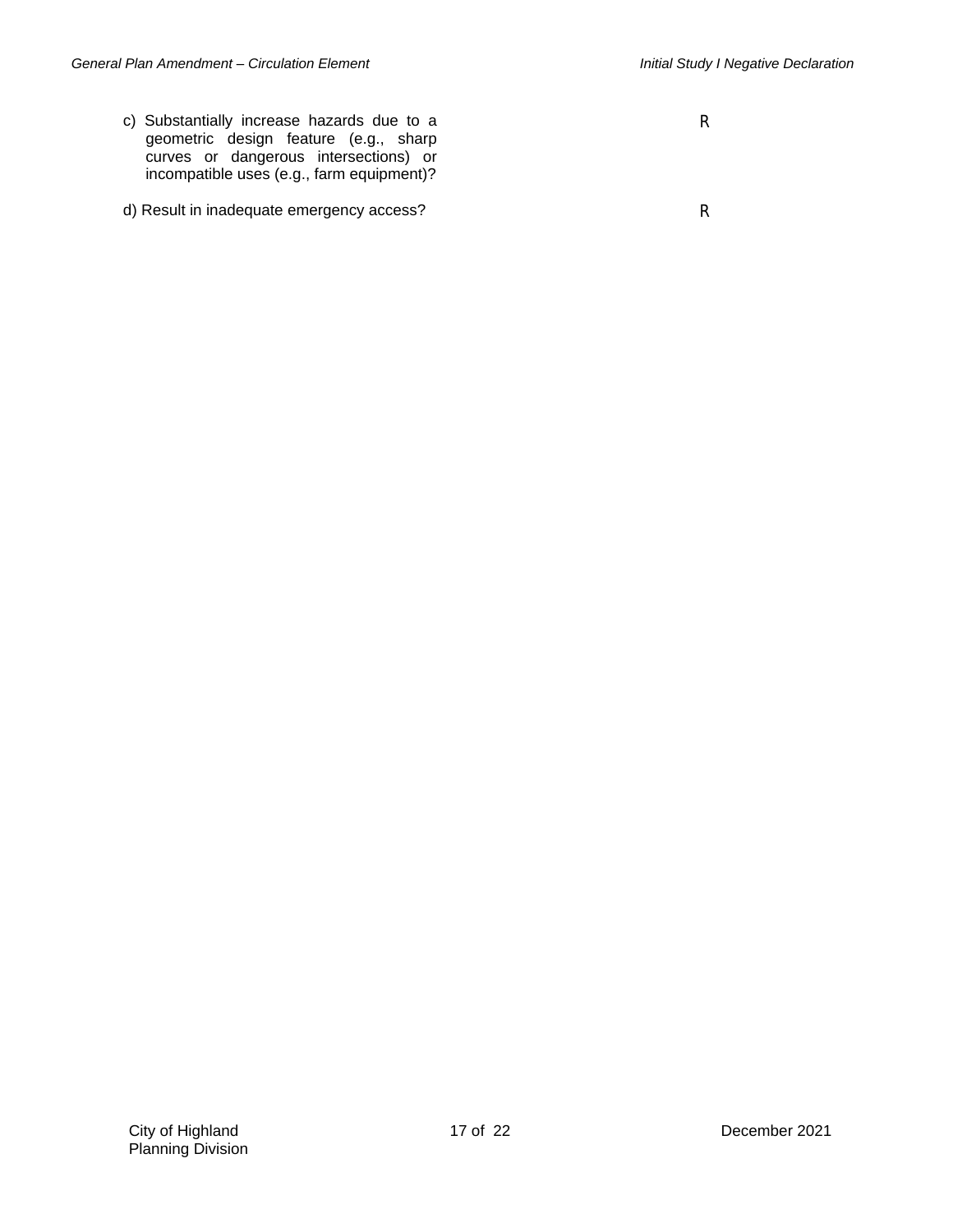- c) Substantially increase hazards due to a geometric design feature (e.g., sharp curves or dangerous intersections) or incompatible uses (e.g., farm equipment)?
- d) Result in inadequate emergency access? Result in inadequate emergency access?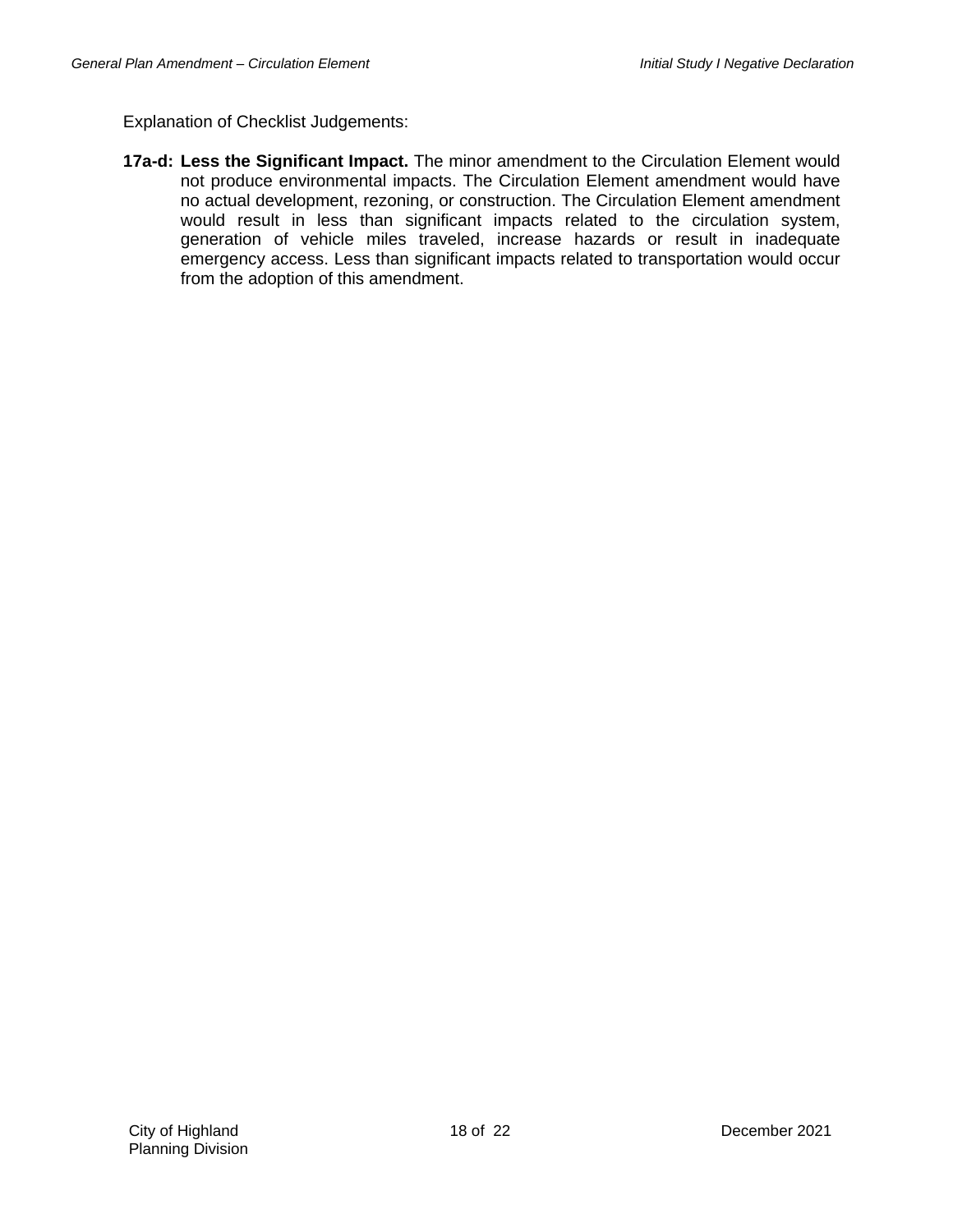**17a-d: Less the Significant Impact.** The minor amendment to the Circulation Element would not produce environmental impacts. The Circulation Element amendment would have no actual development, rezoning, or construction. The Circulation Element amendment would result in less than significant impacts related to the circulation system, generation of vehicle miles traveled, increase hazards or result in inadequate emergency access. Less than significant impacts related to transportation would occur from the adoption of this amendment.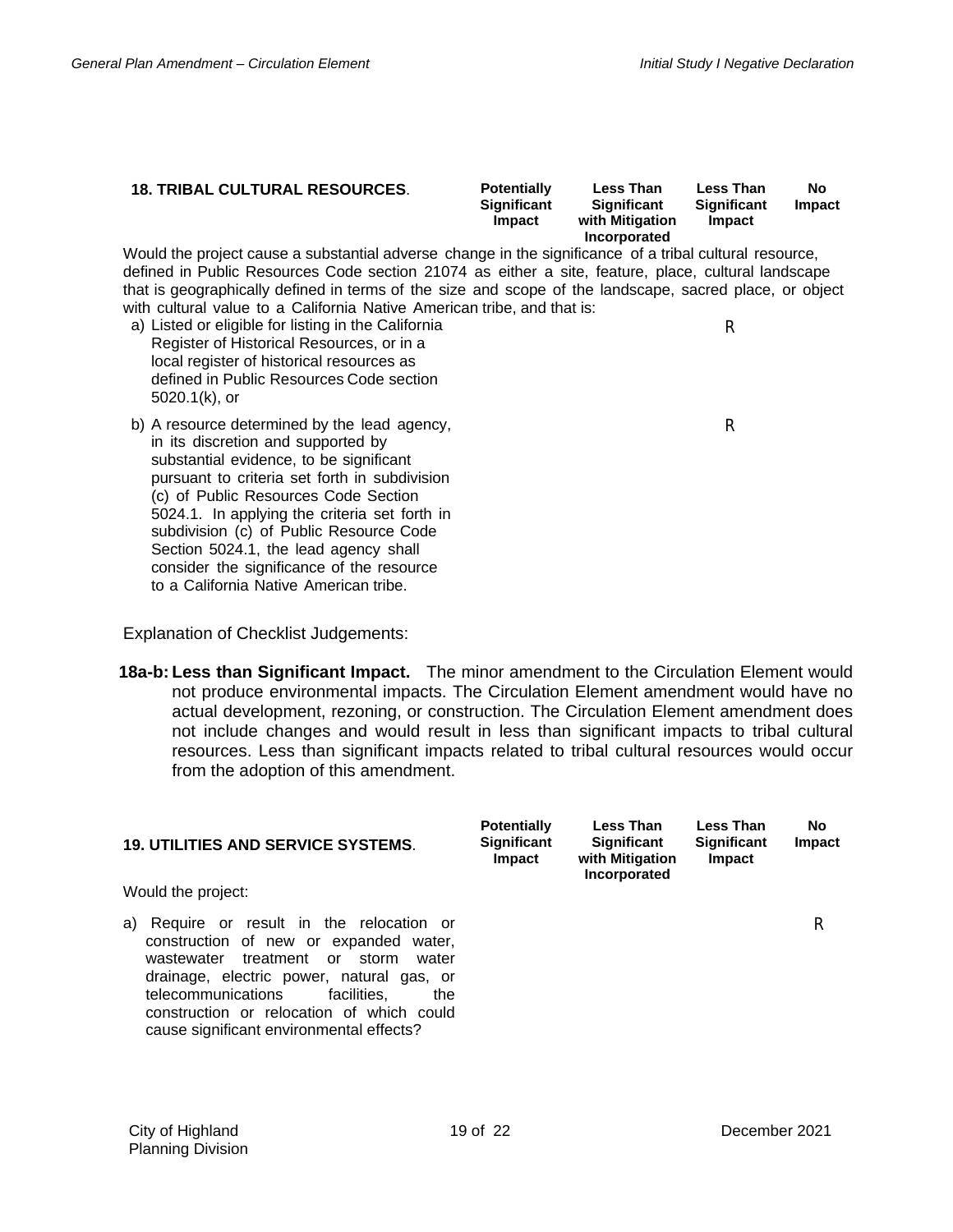| <b>18. TRIBAL CULTURAL RESOURCES.</b>                                                                                                                                                                                                                                                                                                                                                                                                                                                                                                                 | <b>Potentially</b><br><b>Significant</b><br>Impact | <b>Less Than</b><br>Significant<br>with Mitigation<br>Incorporated | Less Than<br>Significant<br>Impact | <b>No</b><br><b>Impact</b> |
|-------------------------------------------------------------------------------------------------------------------------------------------------------------------------------------------------------------------------------------------------------------------------------------------------------------------------------------------------------------------------------------------------------------------------------------------------------------------------------------------------------------------------------------------------------|----------------------------------------------------|--------------------------------------------------------------------|------------------------------------|----------------------------|
| Would the project cause a substantial adverse change in the significance of a tribal cultural resource,<br>defined in Public Resources Code section 21074 as either a site, feature, place, cultural landscape<br>that is geographically defined in terms of the size and scope of the landscape, sacred place, or object<br>with cultural value to a California Native American tribe, and that is:<br>a) Listed or eligible for listing in the California<br>Register of Historical Resources, or in a<br>local register of historical resources as |                                                    |                                                                    | R                                  |                            |
| defined in Public Resources Code section<br>$5020.1(k)$ , or                                                                                                                                                                                                                                                                                                                                                                                                                                                                                          |                                                    |                                                                    |                                    |                            |
| b) A resource determined by the lead agency,<br>in its discretion and supported by<br>substantial evidence, to be significant<br>pursuant to criteria set forth in subdivision<br>(c) of Public Resources Code Section<br>5024.1. In applying the criteria set forth in<br>subdivision (c) of Public Resource Code<br>Section 5024.1, the lead agency shall<br>consider the significance of the resource<br>to a California Native American tribe.                                                                                                    |                                                    |                                                                    | R                                  |                            |

**18a-b: Less than Significant Impact.** The minor amendment to the Circulation Element would not produce environmental impacts. The Circulation Element amendment would have no actual development, rezoning, or construction. The Circulation Element amendment does not include changes and would result in less than significant impacts to tribal cultural resources. Less than significant impacts related to tribal cultural resources would occur from the adoption of this amendment.

| <b>19. UTILITIES AND SERVICE SYSTEMS.</b>                                                                                                                                                                                                                                                                             | <b>Potentially</b><br><b>Significant</b><br><b>Impact</b> | <b>Less Than</b><br><b>Significant</b><br>with Mitigation<br>Incorporated | <b>Less Than</b><br><b>Significant</b><br><b>Impact</b> | No<br>Impact |
|-----------------------------------------------------------------------------------------------------------------------------------------------------------------------------------------------------------------------------------------------------------------------------------------------------------------------|-----------------------------------------------------------|---------------------------------------------------------------------------|---------------------------------------------------------|--------------|
| Would the project:                                                                                                                                                                                                                                                                                                    |                                                           |                                                                           |                                                         |              |
| Require or result in the relocation or<br>a)<br>construction of new or expanded water,<br>treatment or storm<br>wastewater<br>water<br>drainage, electric power, natural gas, or<br>facilities.<br>telecommunications<br>the<br>construction or relocation of which could<br>cause significant environmental effects? |                                                           |                                                                           |                                                         | R            |

**No**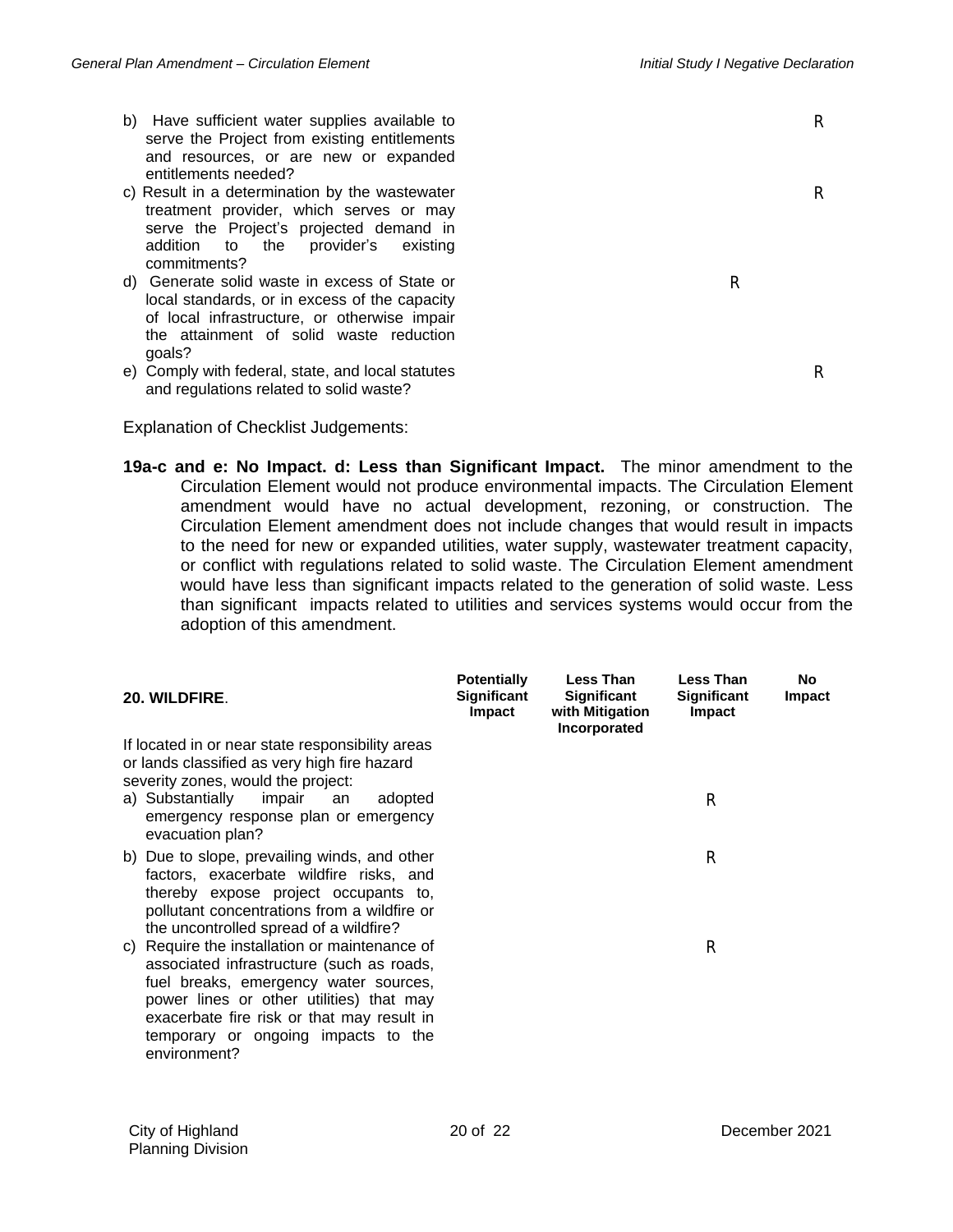R

R

R

- b) Have sufficient water supplies available to serve the Project from existing entitlements and resources, or are new or expanded entitlements needed?
- c) Result in a determination by the wastewater treatment provider, which serves or may serve the Project's projected demand in addition to the provider's existing commitments?
- d) Generate solid waste in excess of State or local standards, or in excess of the capacity of local infrastructure, or otherwise impair the attainment of solid waste reduction goals?
- e) Comply with federal, state, and local statutes and regulations related to solid waste?

Explanation of Checklist Judgements:

**19a-c and e: No Impact. d: Less than Significant Impact.** The minor amendment to the Circulation Element would not produce environmental impacts. The Circulation Element amendment would have no actual development, rezoning, or construction. The Circulation Element amendment does not include changes that would result in impacts to the need for new or expanded utilities, water supply, wastewater treatment capacity, or conflict with regulations related to solid waste. The Circulation Element amendment would have less than significant impacts related to the generation of solid waste. Less than significant impacts related to utilities and services systems would occur from the adoption of this amendment.

| 20. WILDFIRE.                                                                                                                                                                                                                                                                        | <b>Potentially</b><br>Significant<br><b>Impact</b> | <b>Less Than</b><br>Significant<br>with Mitigation<br>Incorporated | <b>Less Than</b><br><b>Significant</b><br>Impact | No<br>Impact |
|--------------------------------------------------------------------------------------------------------------------------------------------------------------------------------------------------------------------------------------------------------------------------------------|----------------------------------------------------|--------------------------------------------------------------------|--------------------------------------------------|--------------|
| If located in or near state responsibility areas<br>or lands classified as very high fire hazard<br>severity zones, would the project:<br>a) Substantially<br>impair<br>adopted<br>an<br>emergency response plan or emergency<br>evacuation plan?                                    |                                                    |                                                                    | R                                                |              |
| b) Due to slope, prevailing winds, and other<br>factors, exacerbate wildfire risks, and<br>thereby expose project occupants to,<br>pollutant concentrations from a wildfire or<br>the uncontrolled spread of a wildfire?                                                             |                                                    |                                                                    | R                                                |              |
| c) Require the installation or maintenance of<br>associated infrastructure (such as roads,<br>fuel breaks, emergency water sources,<br>power lines or other utilities) that may<br>exacerbate fire risk or that may result in<br>temporary or ongoing impacts to the<br>environment? |                                                    |                                                                    | R                                                |              |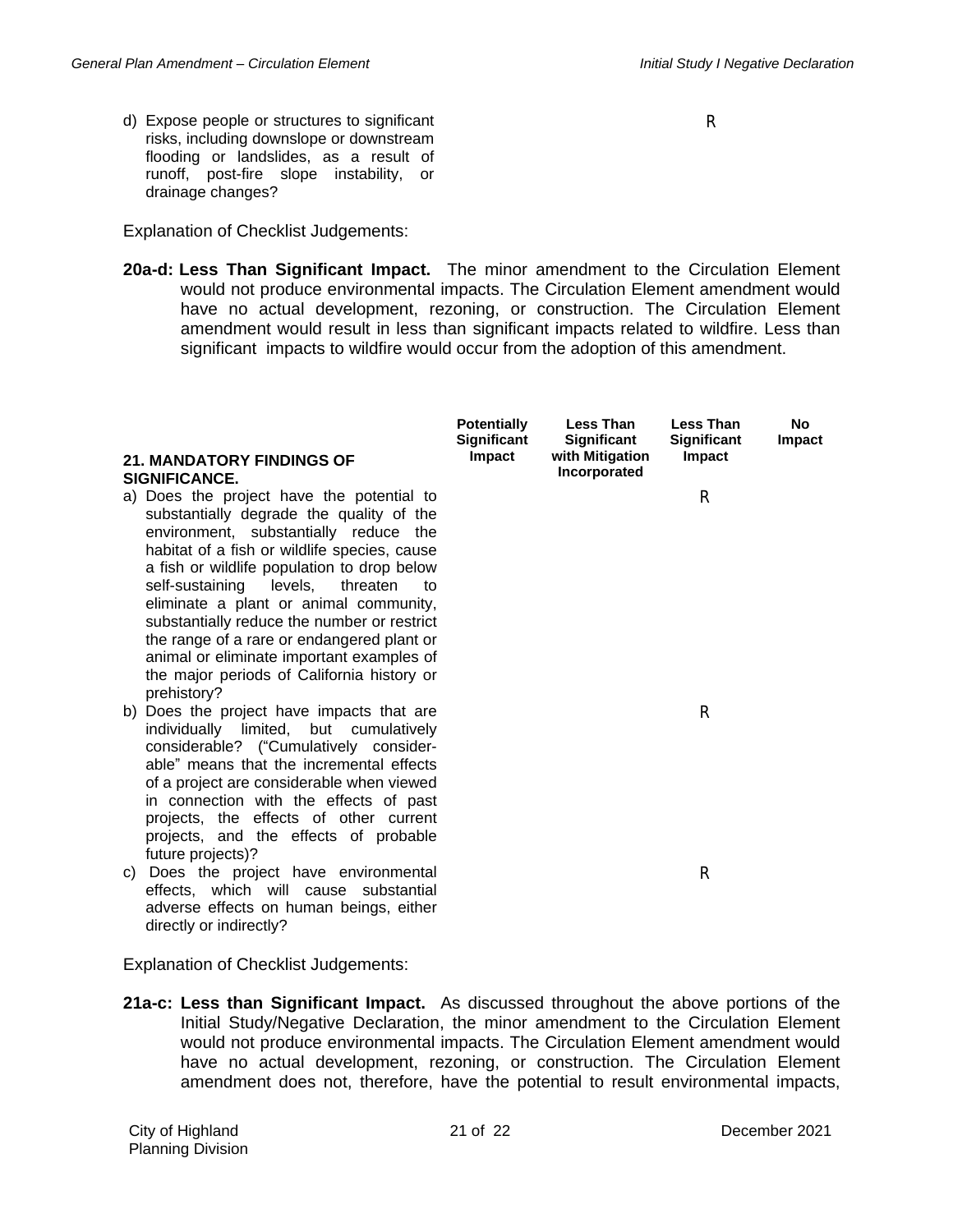d) Expose people or structures to significant risks, including downslope or downstream flooding or landslides, as a result of runoff, post-fire slope instability, or drainage changes?

Explanation of Checklist Judgements:

**20a-d: Less Than Significant Impact.** The minor amendment to the Circulation Element would not produce environmental impacts. The Circulation Element amendment would have no actual development, rezoning, or construction. The Circulation Element amendment would result in less than significant impacts related to wildfire. Less than significant impacts to wildfire would occur from the adoption of this amendment.

|    | <b>21. MANDATORY FINDINGS OF</b><br>SIGNIFICANCE.                                                                                                                                                                                                                                                                                                                                                                                                                                                                              | <b>Potentially</b><br><b>Significant</b><br>Impact | <b>Less Than</b><br><b>Significant</b><br>with Mitigation<br>Incorporated | <b>Less Than</b><br><b>Significant</b><br>Impact | <b>No</b><br>Impact |
|----|--------------------------------------------------------------------------------------------------------------------------------------------------------------------------------------------------------------------------------------------------------------------------------------------------------------------------------------------------------------------------------------------------------------------------------------------------------------------------------------------------------------------------------|----------------------------------------------------|---------------------------------------------------------------------------|--------------------------------------------------|---------------------|
|    | a) Does the project have the potential to<br>substantially degrade the quality of the<br>environment, substantially reduce the<br>habitat of a fish or wildlife species, cause<br>a fish or wildlife population to drop below<br>self-sustaining<br>levels,<br>threaten<br>to<br>eliminate a plant or animal community,<br>substantially reduce the number or restrict<br>the range of a rare or endangered plant or<br>animal or eliminate important examples of<br>the major periods of California history or<br>prehistory? |                                                    |                                                                           | R                                                |                     |
|    | b) Does the project have impacts that are<br>individually limited, but cumulatively<br>considerable? ("Cumulatively consider-<br>able" means that the incremental effects<br>of a project are considerable when viewed<br>in connection with the effects of past<br>projects, the effects of other current<br>projects, and the effects of probable<br>future projects)?                                                                                                                                                       |                                                    |                                                                           | R                                                |                     |
| C) | Does the project have environmental<br>effects, which will cause substantial<br>adverse effects on human beings, either<br>directly or indirectly?                                                                                                                                                                                                                                                                                                                                                                             |                                                    |                                                                           | R                                                |                     |

Explanation of Checklist Judgements:

**21a-c: Less than Significant Impact.** As discussed throughout the above portions of the Initial Study/Negative Declaration, the minor amendment to the Circulation Element would not produce environmental impacts. The Circulation Element amendment would have no actual development, rezoning, or construction. The Circulation Element amendment does not, therefore, have the potential to result environmental impacts,

City of Highland Planning Division 21 of 22 December 2021